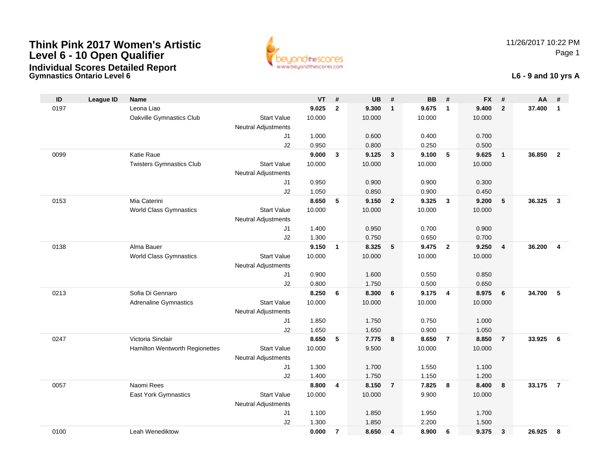**Gymnastics Ontario Level 6**



#### **L6 - 9 and 10 yrs A**

| ID   | <b>League ID</b> | <b>Name</b>                     |                            | <b>VT</b>      | #              | <b>UB</b>      | #                       | <b>BB</b>      | #                       | <b>FX</b>      | #              | AA     | #              |
|------|------------------|---------------------------------|----------------------------|----------------|----------------|----------------|-------------------------|----------------|-------------------------|----------------|----------------|--------|----------------|
| 0197 |                  | Leona Liao                      |                            | 9.025          | $\overline{2}$ | 9.300          | $\mathbf{1}$            | 9.675          | $\overline{1}$          | 9.400          | $\overline{2}$ | 37.400 | $\mathbf{1}$   |
|      |                  | Oakville Gymnastics Club        | <b>Start Value</b>         | 10.000         |                | 10.000         |                         | 10.000         |                         | 10.000         |                |        |                |
|      |                  |                                 | <b>Neutral Adjustments</b> |                |                |                |                         |                |                         |                |                |        |                |
|      |                  |                                 | J1                         | 1.000          |                | 0.600          |                         | 0.400          |                         | 0.700          |                |        |                |
|      |                  |                                 | J2                         | 0.950          |                | 0.800          |                         | 0.250          |                         | 0.500          |                |        |                |
| 0099 |                  | Katie Raue                      |                            | 9.000          | $\mathbf{3}$   | 9.125          | $\overline{\mathbf{3}}$ | 9.100          | 5                       | 9.625          | $\overline{1}$ | 36.850 | $\overline{2}$ |
|      |                  | <b>Twisters Gymnastics Club</b> | <b>Start Value</b>         | 10.000         |                | 10.000         |                         | 10.000         |                         | 10.000         |                |        |                |
|      |                  |                                 | <b>Neutral Adjustments</b> |                |                |                |                         |                |                         |                |                |        |                |
|      |                  |                                 | J1                         | 0.950          |                | 0.900          |                         | 0.900          |                         | 0.300          |                |        |                |
|      |                  |                                 | J2                         | 1.050          |                | 0.850          |                         | 0.900          |                         | 0.450          |                |        |                |
| 0153 |                  | Mia Caterini                    |                            | 8.650          | 5              | 9.150          | $\overline{2}$          | 9.325          | $\mathbf{3}$            | 9.200          | 5              | 36.325 | $\mathbf{3}$   |
|      |                  | World Class Gymnastics          | <b>Start Value</b>         | 10.000         |                | 10.000         |                         | 10.000         |                         | 10.000         |                |        |                |
|      |                  |                                 | <b>Neutral Adjustments</b> |                |                |                |                         |                |                         |                |                |        |                |
|      |                  |                                 | J1                         | 1.400          |                | 0.950          |                         | 0.700          |                         | 0.900          |                |        |                |
|      |                  |                                 | J2                         | 1.300          |                | 0.750          |                         | 0.650          |                         | 0.700          |                |        |                |
| 0138 |                  | Alma Bauer                      |                            | 9.150          | $\mathbf{1}$   | 8.325          | 5                       | 9.475          | $\overline{\mathbf{2}}$ | 9.250          | $\overline{4}$ | 36.200 | $\overline{4}$ |
|      |                  | <b>World Class Gymnastics</b>   | <b>Start Value</b>         | 10.000         |                | 10.000         |                         | 10.000         |                         | 10.000         |                |        |                |
|      |                  |                                 | Neutral Adjustments        |                |                |                |                         |                |                         |                |                |        |                |
|      |                  |                                 | J1                         | 0.900          |                | 1.600          |                         | 0.550          |                         | 0.850          |                |        |                |
| 0213 |                  | Sofia Di Gennaro                | J2                         | 0.800<br>8.250 | 6              | 1.750<br>8.300 | 6                       | 0.500<br>9.175 | $\overline{4}$          | 0.650<br>8.975 | 6              | 34.700 | $-5$           |
|      |                  | <b>Adrenaline Gymnastics</b>    | <b>Start Value</b>         | 10.000         |                | 10.000         |                         | 10.000         |                         | 10.000         |                |        |                |
|      |                  |                                 | Neutral Adjustments        |                |                |                |                         |                |                         |                |                |        |                |
|      |                  |                                 | J1                         | 1.850          |                | 1.750          |                         | 0.750          |                         | 1.000          |                |        |                |
|      |                  |                                 | J2                         | 1.650          |                | 1.650          |                         | 0.900          |                         | 1.050          |                |        |                |
| 0247 |                  | Victoria Sinclair               |                            | 8.650          | 5              | 7.775          | 8                       | 8.650          | $\overline{7}$          | 8.850          | $\overline{7}$ | 33.925 | 6              |
|      |                  | Hamilton Wentworth Regionettes  | <b>Start Value</b>         | 10.000         |                | 9.500          |                         | 10.000         |                         | 10.000         |                |        |                |
|      |                  |                                 | Neutral Adjustments        |                |                |                |                         |                |                         |                |                |        |                |
|      |                  |                                 | J1                         | 1.300          |                | 1.700          |                         | 1.550          |                         | 1.100          |                |        |                |
|      |                  |                                 | J2                         | 1.400          |                | 1.750          |                         | 1.150          |                         | 1.200          |                |        |                |
| 0057 |                  | Naomi Rees                      |                            | 8.800          | 4              | 8.150          | $\overline{7}$          | 7.825          | 8                       | 8.400          | 8              | 33.175 | $\overline{7}$ |
|      |                  | East York Gymnastics            | <b>Start Value</b>         | 10.000         |                | 10.000         |                         | 9.900          |                         | 10.000         |                |        |                |
|      |                  |                                 | <b>Neutral Adjustments</b> |                |                |                |                         |                |                         |                |                |        |                |
|      |                  |                                 | J1                         | 1.100          |                | 1.850          |                         | 1.950          |                         | 1.700          |                |        |                |
|      |                  |                                 | J2                         | 1.300          |                | 1.850          |                         | 2.200          |                         | 1.500          |                |        |                |
| 0100 |                  | Leah Wenediktow                 |                            | 0.000          | $\overline{7}$ | 8.650          | 4                       | 8.900          | 6                       | 9.375          | $\mathbf{3}$   | 26.925 | 8              |
|      |                  |                                 |                            |                |                |                |                         |                |                         |                |                |        |                |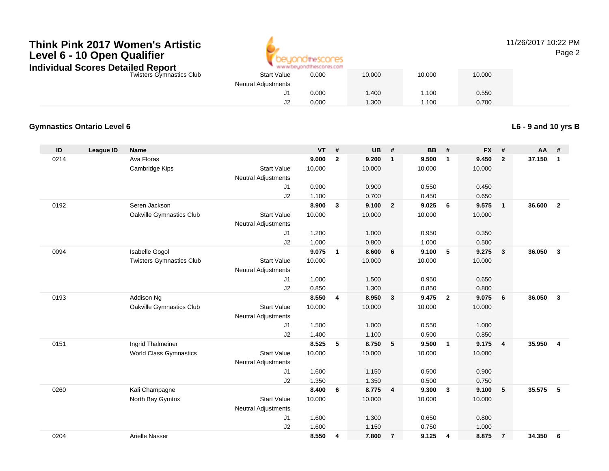

#### 11/26/2017 10:22 PMPage 2

Twisters Gymnastics Club

|   |                     | A MAIN AN OBATOLOGIC BROOK ART COM |        |        |        |  |
|---|---------------------|------------------------------------|--------|--------|--------|--|
| b | <b>Start Value</b>  | 0.000                              | 10.000 | 10.000 | 10.000 |  |
|   | Neutral Adjustments |                                    |        |        |        |  |
|   | J1                  | 0.000                              | 1.400  | 1.100  | 0.550  |  |
|   | J2                  | 0.000                              | 1.300  | 1.100  | 0.700  |  |
|   |                     |                                    |        |        |        |  |

#### **Gymnastics Ontario Level 6**

**L6 - 9 and 10 yrs B**

| ID   | <b>League ID</b> | <b>Name</b>                     |                            | <b>VT</b> | #              | <b>UB</b> | #              | <b>BB</b> | #                       | <b>FX</b> | #              | AA     | #              |
|------|------------------|---------------------------------|----------------------------|-----------|----------------|-----------|----------------|-----------|-------------------------|-----------|----------------|--------|----------------|
| 0214 |                  | Ava Floras                      |                            | 9.000     | $\overline{2}$ | 9.200     | $\mathbf{1}$   | 9.500     | $\mathbf{1}$            | 9.450     | $\overline{2}$ | 37.150 | $\mathbf{1}$   |
|      |                  | Cambridge Kips                  | <b>Start Value</b>         | 10.000    |                | 10.000    |                | 10.000    |                         | 10.000    |                |        |                |
|      |                  |                                 | <b>Neutral Adjustments</b> |           |                |           |                |           |                         |           |                |        |                |
|      |                  |                                 | J1                         | 0.900     |                | 0.900     |                | 0.550     |                         | 0.450     |                |        |                |
|      |                  |                                 | J2                         | 1.100     |                | 0.700     |                | 0.450     |                         | 0.650     |                |        |                |
| 0192 |                  | Seren Jackson                   |                            | 8.900     | 3              | 9.100     | $\overline{2}$ | 9.025     | - 6                     | 9.575     | $\overline{1}$ | 36.600 | $\overline{2}$ |
|      |                  | Oakville Gymnastics Club        | <b>Start Value</b>         | 10.000    |                | 10.000    |                | 10.000    |                         | 10.000    |                |        |                |
|      |                  |                                 | Neutral Adjustments        |           |                |           |                |           |                         |           |                |        |                |
|      |                  |                                 | J1                         | 1.200     |                | 1.000     |                | 0.950     |                         | 0.350     |                |        |                |
|      |                  |                                 | J2                         | 1.000     |                | 0.800     |                | 1.000     |                         | 0.500     |                |        |                |
| 0094 |                  | Isabelle Gogol                  |                            | 9.075     | $\mathbf{1}$   | 8.600     | 6              | 9.100     | 5                       | 9.275     | $\mathbf{3}$   | 36.050 | $\mathbf{3}$   |
|      |                  | <b>Twisters Gymnastics Club</b> | <b>Start Value</b>         | 10.000    |                | 10.000    |                | 10.000    |                         | 10.000    |                |        |                |
|      |                  |                                 | <b>Neutral Adjustments</b> |           |                |           |                |           |                         |           |                |        |                |
|      |                  |                                 | J1                         | 1.000     |                | 1.500     |                | 0.950     |                         | 0.650     |                |        |                |
|      |                  |                                 | J2                         | 0.850     |                | 1.300     |                | 0.850     |                         | 0.800     |                |        |                |
| 0193 |                  | Addison Ng                      |                            | 8.550     | 4              | 8.950     | $\mathbf{3}$   | 9.475     | $\overline{\mathbf{2}}$ | 9.075     | 6              | 36.050 | $\mathbf{3}$   |
|      |                  | Oakville Gymnastics Club        | <b>Start Value</b>         | 10.000    |                | 10.000    |                | 10.000    |                         | 10.000    |                |        |                |
|      |                  |                                 | <b>Neutral Adjustments</b> |           |                |           |                |           |                         |           |                |        |                |
|      |                  |                                 | J <sub>1</sub>             | 1.500     |                | 1.000     |                | 0.550     |                         | 1.000     |                |        |                |
|      |                  |                                 | J2                         | 1.400     |                | 1.100     |                | 0.500     |                         | 0.850     |                |        |                |
| 0151 |                  | Ingrid Thalmeiner               |                            | 8.525     | 5              | 8.750     | 5              | 9.500     | $\overline{1}$          | 9.175     | $\overline{4}$ | 35.950 | $\overline{4}$ |
|      |                  | <b>World Class Gymnastics</b>   | <b>Start Value</b>         | 10.000    |                | 10.000    |                | 10.000    |                         | 10.000    |                |        |                |
|      |                  |                                 | <b>Neutral Adjustments</b> |           |                |           |                |           |                         |           |                |        |                |
|      |                  |                                 | J1                         | 1.600     |                | 1.150     |                | 0.500     |                         | 0.900     |                |        |                |
|      |                  |                                 | J2                         | 1.350     |                | 1.350     |                | 0.500     |                         | 0.750     |                |        |                |
| 0260 |                  | Kali Champagne                  |                            | 8.400     | 6              | 8.775     | $\overline{4}$ | 9.300     | $\overline{\mathbf{3}}$ | 9.100     | 5              | 35.575 | 5              |
|      |                  | North Bay Gymtrix               | <b>Start Value</b>         | 10.000    |                | 10.000    |                | 10.000    |                         | 10.000    |                |        |                |
|      |                  |                                 | <b>Neutral Adjustments</b> |           |                |           |                |           |                         |           |                |        |                |
|      |                  |                                 | J1                         | 1.600     |                | 1.300     |                | 0.650     |                         | 0.800     |                |        |                |
|      |                  |                                 | J2                         | 1.600     |                | 1.150     |                | 0.750     |                         | 1.000     |                |        |                |
| 0204 |                  | Arielle Nasser                  |                            | 8.550     | 4              | 7.800     | $\overline{7}$ | 9.125     | 4                       | 8.875     | $\overline{7}$ | 34.350 | 6              |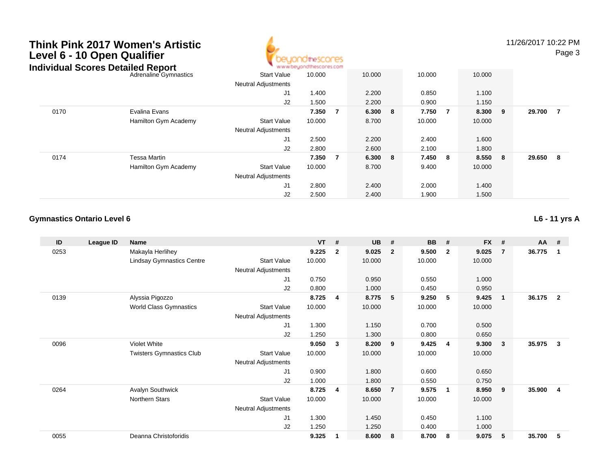# **Think Pink 2017 Women's ArtisticLevel 6 - 10 Open Qualifier**



11/26/2017 10:22 PM

Page 3

#### Adrenaline Gymnastics Start Valuee 10.000 10.000 10.000 10.000 Neutral Adjustments J1 1.400 2.200 0.850 1.100 J2 1.500 2.200 0.900 1.150 0170 Evalina Evans **7.350 <sup>7</sup> 6.300 <sup>8</sup> 7.750 <sup>7</sup> 8.300 <sup>9</sup> 29.700 <sup>7</sup>** Hamilton Gym Academy Start Valuee 10.000 8.700 10.000 10.000 Neutral Adjustments J1 2.500 2.200 2.400 1.600 J2 2.800 2.600 2.100 1.800 0174 Tessa Martin **7.350 <sup>7</sup> 6.300 <sup>8</sup> 7.450 <sup>8</sup> 8.550 <sup>8</sup> 29.650 <sup>8</sup>** Hamilton Gym Academy Start Valuee 10.000 8.700 9.400 10.000 Neutral Adjustments J1 2.800 2.400 2.000 1.400 J2 2.500 2.400 1.900 1.500 **Individual Scores Detailed Report**

#### **Gymnastics Ontario Level 6**

**L6 - 11 yrs A**

| ID   | League ID | Name                             |                            | <b>VT</b> | #            | <b>UB</b> | #              | <b>BB</b> | #                       | <b>FX</b> | #              | $AA$ # |                |
|------|-----------|----------------------------------|----------------------------|-----------|--------------|-----------|----------------|-----------|-------------------------|-----------|----------------|--------|----------------|
| 0253 |           | Makayla Herlihey                 |                            | 9.225     | $\mathbf{2}$ | 9.025     | $\overline{2}$ | 9.500     | $\overline{\mathbf{2}}$ | 9.025     | $\overline{7}$ | 36.775 | 1              |
|      |           | <b>Lindsay Gymnastics Centre</b> | <b>Start Value</b>         | 10.000    |              | 10.000    |                | 10.000    |                         | 10.000    |                |        |                |
|      |           |                                  | Neutral Adjustments        |           |              |           |                |           |                         |           |                |        |                |
|      |           |                                  | J1                         | 0.750     |              | 0.950     |                | 0.550     |                         | 1.000     |                |        |                |
|      |           |                                  | J2                         | 0.800     |              | 1.000     |                | 0.450     |                         | 0.950     |                |        |                |
| 0139 |           | Alyssia Pigozzo                  |                            | 8.725     | 4            | 8.775     | 5              | 9.250     | 5                       | 9.425     | $\mathbf{1}$   | 36.175 | $\overline{2}$ |
|      |           | <b>World Class Gymnastics</b>    | <b>Start Value</b>         | 10.000    |              | 10.000    |                | 10.000    |                         | 10.000    |                |        |                |
|      |           |                                  | <b>Neutral Adjustments</b> |           |              |           |                |           |                         |           |                |        |                |
|      |           |                                  | J <sub>1</sub>             | 1.300     |              | 1.150     |                | 0.700     |                         | 0.500     |                |        |                |
|      |           |                                  | J <sub>2</sub>             | 1.250     |              | 1.300     |                | 0.800     |                         | 0.650     |                |        |                |
| 0096 |           | Violet White                     |                            | 9.050     | 3            | 8.200     | - 9            | 9.425     | -4                      | 9.300     | 3              | 35.975 | 3              |
|      |           | <b>Twisters Gymnastics Club</b>  | <b>Start Value</b>         | 10.000    |              | 10.000    |                | 10.000    |                         | 10.000    |                |        |                |
|      |           |                                  | <b>Neutral Adjustments</b> |           |              |           |                |           |                         |           |                |        |                |
|      |           |                                  | J1                         | 0.900     |              | 1.800     |                | 0.600     |                         | 0.650     |                |        |                |
|      |           |                                  | J2                         | 1.000     |              | 1.800     |                | 0.550     |                         | 0.750     |                |        |                |
| 0264 |           | <b>Avalyn Southwick</b>          |                            | 8.725     | 4            | 8.650     | $\overline{7}$ | 9.575     | -1                      | 8.950     | 9              | 35.900 | $\overline{4}$ |
|      |           | Northern Stars                   | <b>Start Value</b>         | 10.000    |              | 10.000    |                | 10.000    |                         | 10.000    |                |        |                |
|      |           |                                  | Neutral Adjustments        |           |              |           |                |           |                         |           |                |        |                |
|      |           |                                  | J1                         | 1.300     |              | 1.450     |                | 0.450     |                         | 1.100     |                |        |                |
|      |           |                                  | J2                         | 1.250     |              | 1.250     |                | 0.400     |                         | 1.000     |                |        |                |
| 0055 |           | Deanna Christoforidis            |                            | 9.325     |              | 8.600     | 8              | 8.700     | -8                      | 9.075     | 5              | 35.700 | 5              |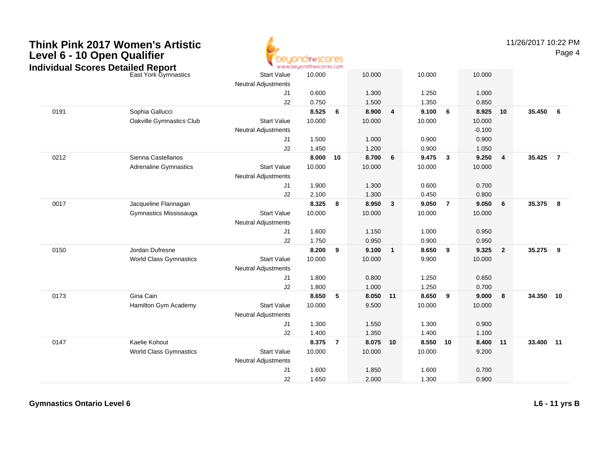

11/26/2017 10:22 PM

Page 4

|      | ndividual Scores Detailed Report |                            | * www.beyondthescores.com |                |          |                |        |                |          |                         |           |                         |
|------|----------------------------------|----------------------------|---------------------------|----------------|----------|----------------|--------|----------------|----------|-------------------------|-----------|-------------------------|
|      | East York Gymnastics             | <b>Start Value</b>         | 10.000                    |                | 10.000   |                | 10.000 |                | 10.000   |                         |           |                         |
|      |                                  | <b>Neutral Adjustments</b> |                           |                |          |                |        |                |          |                         |           |                         |
|      |                                  | J <sub>1</sub>             | 0.600                     |                | 1.300    |                | 1.250  |                | 1.000    |                         |           |                         |
|      |                                  | J2                         | 0.750                     |                | 1.500    |                | 1.350  |                | 0.850    |                         |           |                         |
| 0191 | Sophia Gallucci                  |                            | 8.525                     | 6              | 8.900    | $\overline{4}$ | 9.100  | 6              | 8.925    | 10                      | 35.450    | 6                       |
|      | Oakville Gymnastics Club         | <b>Start Value</b>         | 10.000                    |                | 10.000   |                | 10.000 |                | 10.000   |                         |           |                         |
|      |                                  | <b>Neutral Adjustments</b> |                           |                |          |                |        |                | $-0.100$ |                         |           |                         |
|      |                                  | J1                         | 1.500                     |                | 1.000    |                | 0.900  |                | 0.900    |                         |           |                         |
|      |                                  | J2                         | 1.450                     |                | 1.200    |                | 0.900  |                | 1.050    |                         |           |                         |
| 0212 | Sienna Castellanos               |                            | 8.000                     | 10             | 8.700    | 6              | 9.475  | $\mathbf{3}$   | 9.250    | $\overline{4}$          | 35.425    | $\overline{7}$          |
|      | <b>Adrenaline Gymnastics</b>     | <b>Start Value</b>         | 10.000                    |                | 10.000   |                | 10.000 |                | 10.000   |                         |           |                         |
|      |                                  | Neutral Adjustments        |                           |                |          |                |        |                |          |                         |           |                         |
|      |                                  | J1                         | 1.900                     |                | 1.300    |                | 0.600  |                | 0.700    |                         |           |                         |
|      |                                  | J2                         | 2.100                     |                | 1.300    |                | 0.450  |                | 0.800    |                         |           |                         |
| 0017 | Jacqueline Flannagan             |                            | 8.325                     | 8              | 8.950    | $\mathbf{3}$   | 9.050  | $\overline{7}$ | 9.050    | 6                       | 35.375    | 8                       |
|      | Gymnastics Mississauga           | <b>Start Value</b>         | 10.000                    |                | 10.000   |                | 10.000 |                | 10.000   |                         |           |                         |
|      |                                  | <b>Neutral Adjustments</b> |                           |                |          |                |        |                |          |                         |           |                         |
|      |                                  | J <sub>1</sub>             | 1.600                     |                | 1.150    |                | 1.000  |                | 0.950    |                         |           |                         |
|      |                                  | J2                         | 1.750                     |                | 0.950    |                | 0.900  |                | 0.950    |                         |           |                         |
| 0150 | Jordan Dufresne                  |                            | 8.200                     | 9              | 9.100    | $\mathbf{1}$   | 8.650  | 9              | 9.325    | $\overline{\mathbf{2}}$ | 35.275    | $\overline{\mathbf{9}}$ |
|      | <b>World Class Gymnastics</b>    | <b>Start Value</b>         | 10.000                    |                | 10.000   |                | 9.900  |                | 10.000   |                         |           |                         |
|      |                                  | <b>Neutral Adjustments</b> |                           |                |          |                |        |                |          |                         |           |                         |
|      |                                  | J <sub>1</sub>             | 1.800                     |                | 0.800    |                | 1.250  |                | 0.650    |                         |           |                         |
|      |                                  | J2                         | 1.800                     |                | 1.000    |                | 1.250  |                | 0.700    |                         |           |                         |
| 0173 | Gina Cain                        |                            | 8.650                     | 5              | 8.050    | 11             | 8.650  | 9              | 9.000    | 8                       | 34.350 10 |                         |
|      | Hamilton Gym Academy             | <b>Start Value</b>         | 10.000                    |                | 9.500    |                | 10.000 |                | 10.000   |                         |           |                         |
|      |                                  | <b>Neutral Adjustments</b> |                           |                |          |                |        |                |          |                         |           |                         |
|      |                                  | J1                         | 1.300                     |                | 1.550    |                | 1.300  |                | 0.900    |                         |           |                         |
|      |                                  | J2                         | 1.400                     |                | 1.350    |                | 1.400  |                | 1.100    |                         |           |                         |
| 0147 | Kaelie Kohout                    |                            | 8.375                     | $\overline{7}$ | 8.075 10 |                | 8.550  | 10             | 8.400 11 |                         | 33.400 11 |                         |
|      | <b>World Class Gymnastics</b>    | <b>Start Value</b>         | 10.000                    |                | 10.000   |                | 10.000 |                | 9.200    |                         |           |                         |
|      |                                  | <b>Neutral Adjustments</b> |                           |                |          |                |        |                |          |                         |           |                         |
|      |                                  | J1                         | 1.600                     |                | 1.850    |                | 1.600  |                | 0.700    |                         |           |                         |
|      |                                  | J2                         | 1.650                     |                | 2.000    |                | 1.300  |                | 0.900    |                         |           |                         |

**Gymnastics Ontario Level 6**

**L6 - 11 yrs B**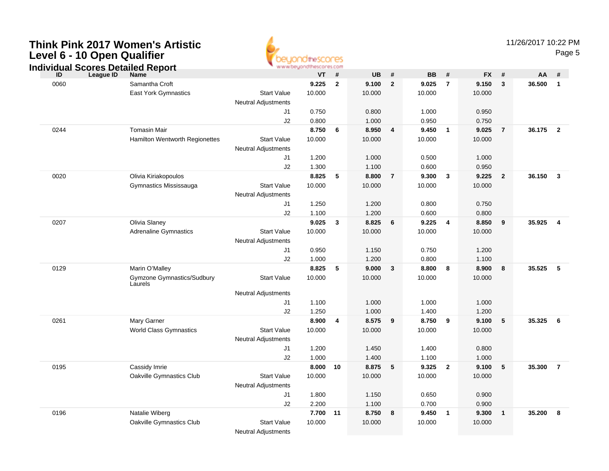

|      | ndividual Scores Detailed Report |                            | - www.beyonatuescores.com |                         |                |                |                |                |                |                |        |                         |
|------|----------------------------------|----------------------------|---------------------------|-------------------------|----------------|----------------|----------------|----------------|----------------|----------------|--------|-------------------------|
| ID   | League ID<br><b>Name</b>         |                            | VT                        | #                       | <b>UB</b>      | #              | <b>BB</b>      | #              | <b>FX</b>      | - #            | AA     | #                       |
| 0060 | Samantha Croft                   |                            | 9.225                     | $\overline{2}$          | 9.100          | $\overline{2}$ | 9.025          | $\overline{7}$ | 9.150          | 3              | 36.500 | $\overline{1}$          |
|      | East York Gymnastics             | <b>Start Value</b>         | 10.000                    |                         | 10.000         |                | 10.000         |                | 10.000         |                |        |                         |
|      |                                  | <b>Neutral Adjustments</b> |                           |                         |                |                |                |                |                |                |        |                         |
|      |                                  | J1                         | 0.750                     |                         | 0.800          |                | 1.000          |                | 0.950          |                |        |                         |
|      |                                  | J2                         | 0.800                     |                         | 1.000          |                | 0.950          |                | 0.750          |                |        |                         |
| 0244 | <b>Tomasin Mair</b>              |                            | 8.750                     | 6                       | 8.950          | $\overline{4}$ | 9.450          | $\overline{1}$ | 9.025          | $\overline{7}$ | 36.175 | $\overline{\mathbf{2}}$ |
|      | Hamilton Wentworth Regionettes   | <b>Start Value</b>         | 10.000                    |                         | 10.000         |                | 10.000         |                | 10.000         |                |        |                         |
|      |                                  | <b>Neutral Adjustments</b> |                           |                         |                |                |                |                |                |                |        |                         |
|      |                                  | J1                         | 1.200                     |                         | 1.000          |                | 0.500          |                | 1.000          |                |        |                         |
|      |                                  | J2                         | 1.300                     |                         | 1.100          |                | 0.600          |                | 0.950          |                |        |                         |
| 0020 | Olivia Kiriakopoulos             |                            | 8.825                     | 5                       | 8.800          | $\overline{7}$ | 9.300          | 3              | 9.225          | $\overline{2}$ | 36.150 | $\mathbf{3}$            |
|      | Gymnastics Mississauga           | <b>Start Value</b>         | 10.000                    |                         | 10.000         |                | 10.000         |                | 10.000         |                |        |                         |
|      |                                  | <b>Neutral Adjustments</b> |                           |                         |                |                |                |                |                |                |        |                         |
|      |                                  | J1                         | 1.250                     |                         | 1.200          |                | 0.800          |                | 0.750          |                |        |                         |
|      |                                  | J2                         | 1.100                     |                         | 1.200          |                | 0.600          |                | 0.800          |                |        |                         |
| 0207 | Olivia Slaney                    |                            | 9.025                     | $\overline{\mathbf{3}}$ | 8.825          | 6              | 9.225          | $\overline{4}$ | 8.850          | 9              | 35.925 | $\overline{4}$          |
|      | <b>Adrenaline Gymnastics</b>     | <b>Start Value</b>         | 10.000                    |                         | 10.000         |                | 10.000         |                | 10.000         |                |        |                         |
|      |                                  | <b>Neutral Adjustments</b> |                           |                         |                |                |                |                |                |                |        |                         |
|      |                                  | J1                         | 0.950                     |                         | 1.150          |                | 0.750          |                | 1.200          |                |        |                         |
| 0129 | Marin O'Malley                   | J2                         | 1.000<br>8.825            | 5                       | 1.200<br>9.000 | 3              | 0.800<br>8.800 | 8              | 1.100<br>8.900 | 8              | 35.525 | -5                      |
|      | Gymzone Gymnastics/Sudbury       | <b>Start Value</b>         | 10.000                    |                         | 10.000         |                | 10.000         |                | 10.000         |                |        |                         |
|      | Laurels                          |                            |                           |                         |                |                |                |                |                |                |        |                         |
|      |                                  | <b>Neutral Adjustments</b> |                           |                         |                |                |                |                |                |                |        |                         |
|      |                                  | J1                         | 1.100                     |                         | 1.000          |                | 1.000          |                | 1.000          |                |        |                         |
|      |                                  | J2                         | 1.250                     |                         | 1.000          |                | 1.400          |                | 1.200          |                |        |                         |
| 0261 | Mary Garner                      |                            | 8.900                     | $\overline{4}$          | 8.575          | 9              | 8.750          | 9              | 9.100          | 5              | 35.325 | - 6                     |
|      | <b>World Class Gymnastics</b>    | <b>Start Value</b>         | 10.000                    |                         | 10.000         |                | 10.000         |                | 10.000         |                |        |                         |
|      |                                  | <b>Neutral Adjustments</b> |                           |                         |                |                |                |                |                |                |        |                         |
|      |                                  | J1                         | 1.200                     |                         | 1.450          |                | 1.400          |                | 0.800          |                |        |                         |
|      |                                  | J2                         | 1.000                     |                         | 1.400          |                | 1.100          |                | 1.000          |                |        |                         |
| 0195 | Cassidy Imrie                    |                            | 8.000                     | 10                      | 8.875          | 5              | 9.325          | $\overline{2}$ | 9.100          | 5              | 35.300 | $\overline{7}$          |
|      | Oakville Gymnastics Club         | <b>Start Value</b>         | 10.000                    |                         | 10.000         |                | 10.000         |                | 10.000         |                |        |                         |
|      |                                  | <b>Neutral Adjustments</b> |                           |                         |                |                |                |                |                |                |        |                         |
|      |                                  | J1                         | 1.800                     |                         | 1.150          |                | 0.650          |                | 0.900          |                |        |                         |
|      |                                  | J2                         | 2.200                     |                         | 1.100          |                | 0.700          |                | 0.900          |                |        |                         |
| 0196 | Natalie Wiberg                   |                            | 7.700                     | 11                      | 8.750          | 8              | 9.450          | $\mathbf{1}$   | 9.300          | $\overline{1}$ | 35.200 | 8                       |
|      | Oakville Gymnastics Club         | <b>Start Value</b>         | 10.000                    |                         | 10.000         |                | 10.000         |                | 10.000         |                |        |                         |
|      |                                  | <b>Neutral Adjustments</b> |                           |                         |                |                |                |                |                |                |        |                         |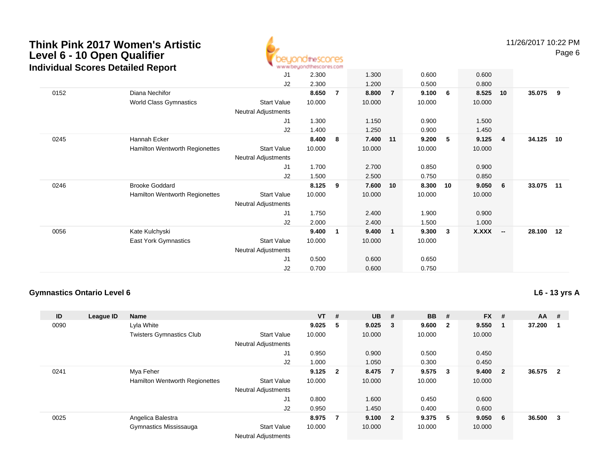

11/26/2017 10:22 PMPage 6

|      | dividual occides Detailed Report |                            |        |   |        |                |        |    |              |                |        |     |
|------|----------------------------------|----------------------------|--------|---|--------|----------------|--------|----|--------------|----------------|--------|-----|
|      |                                  | J1                         | 2.300  |   | 1.300  |                | 0.600  |    | 0.600        |                |        |     |
|      |                                  | J2                         | 2.300  |   | 1.200  |                | 0.500  |    | 0.800        |                |        |     |
| 0152 | Diana Nechifor                   |                            | 8.650  | 7 | 8.800  | $\overline{7}$ | 9.100  | 6  | 8.525        | 10             | 35.075 | - 9 |
|      | World Class Gymnastics           | <b>Start Value</b>         | 10.000 |   | 10.000 |                | 10.000 |    | 10.000       |                |        |     |
|      |                                  | Neutral Adjustments        |        |   |        |                |        |    |              |                |        |     |
|      |                                  | J1                         | 1.300  |   | 1.150  |                | 0.900  |    | 1.500        |                |        |     |
|      |                                  | J2                         | 1.400  |   | 1.250  |                | 0.900  |    | 1.450        |                |        |     |
| 0245 | Hannah Ecker                     |                            | 8.400  | 8 | 7.400  | 11             | 9.200  | 5  | 9.125        | $\overline{4}$ | 34.125 | 10  |
|      | Hamilton Wentworth Regionettes   | <b>Start Value</b>         | 10.000 |   | 10.000 |                | 10.000 |    | 10.000       |                |        |     |
|      |                                  | <b>Neutral Adjustments</b> |        |   |        |                |        |    |              |                |        |     |
|      |                                  | J <sub>1</sub>             | 1.700  |   | 2.700  |                | 0.850  |    | 0.900        |                |        |     |
|      |                                  | J2                         | 1.500  |   | 2.500  |                | 0.750  |    | 0.850        |                |        |     |
| 0246 | <b>Brooke Goddard</b>            |                            | 8.125  | 9 | 7.600  | 10             | 8.300  | 10 | 9.050        | - 6            | 33.075 | 11  |
|      | Hamilton Wentworth Regionettes   | <b>Start Value</b>         | 10.000 |   | 10.000 |                | 10.000 |    | 10.000       |                |        |     |
|      |                                  | Neutral Adjustments        |        |   |        |                |        |    |              |                |        |     |
|      |                                  | J1                         | 1.750  |   | 2.400  |                | 1.900  |    | 0.900        |                |        |     |
|      |                                  | J2                         | 2.000  |   | 2.400  |                | 1.500  |    | 1.000        |                |        |     |
| 0056 | Kate Kulchyski                   |                            | 9.400  | 1 | 9.400  | $\mathbf 1$    | 9.300  | 3  | <b>X.XXX</b> | - -            | 28.100 | 12  |
|      | East York Gymnastics             | <b>Start Value</b>         | 10.000 |   | 10.000 |                | 10.000 |    |              |                |        |     |
|      |                                  | <b>Neutral Adjustments</b> |        |   |        |                |        |    |              |                |        |     |
|      |                                  | J <sub>1</sub>             | 0.500  |   | 0.600  |                | 0.650  |    |              |                |        |     |
|      |                                  | J2                         | 0.700  |   | 0.600  |                | 0.750  |    |              |                |        |     |

#### **Gymnastics Ontario Level 6**

**L6 - 13 yrs A**

| ID   | League ID | <b>Name</b>                           |                            | $VT$ # |                         | <b>UB</b> | #                       | <b>BB</b> | -#                      | <b>FX</b> | #                       | $AA$ # |                         |
|------|-----------|---------------------------------------|----------------------------|--------|-------------------------|-----------|-------------------------|-----------|-------------------------|-----------|-------------------------|--------|-------------------------|
| 0090 |           | Lyla White                            |                            | 9.025  | 5                       | 9.025     | $\overline{\mathbf{3}}$ | 9.600     | $\overline{\mathbf{2}}$ | 9.550     | -1                      | 37.200 |                         |
|      |           | <b>Twisters Gymnastics Club</b>       | <b>Start Value</b>         | 10.000 |                         | 10.000    |                         | 10.000    |                         | 10.000    |                         |        |                         |
|      |           |                                       | <b>Neutral Adjustments</b> |        |                         |           |                         |           |                         |           |                         |        |                         |
|      |           |                                       | J1                         | 0.950  |                         | 0.900     |                         | 0.500     |                         | 0.450     |                         |        |                         |
|      |           |                                       | J2                         | 1.000  |                         | 1.050     |                         | 0.300     |                         | 0.450     |                         |        |                         |
| 0241 |           | Mya Feher                             |                            | 9.125  | $\overline{\mathbf{2}}$ | 8.475 7   |                         | 9.575     | $\overline{\mathbf{3}}$ | 9.400     | $\overline{\mathbf{2}}$ | 36.575 | $\overline{\mathbf{2}}$ |
|      |           | <b>Hamilton Wentworth Regionettes</b> | <b>Start Value</b>         | 10.000 |                         | 10.000    |                         | 10.000    |                         | 10.000    |                         |        |                         |
|      |           |                                       | <b>Neutral Adjustments</b> |        |                         |           |                         |           |                         |           |                         |        |                         |
|      |           |                                       | J1                         | 0.800  |                         | 1.600     |                         | 0.450     |                         | 0.600     |                         |        |                         |
|      |           |                                       | J2                         | 0.950  |                         | 1.450     |                         | 0.400     |                         | 0.600     |                         |        |                         |
| 0025 |           | Angelica Balestra                     |                            | 8.975  | 7                       | 9.100     | $\overline{\mathbf{2}}$ | 9.375     | - 5                     | 9.050     | -6                      | 36.500 | 3                       |
|      |           | Gymnastics Mississauga                | <b>Start Value</b>         | 10.000 |                         | 10.000    |                         | 10.000    |                         | 10.000    |                         |        |                         |
|      |           |                                       | <b>Neutral Adjustments</b> |        |                         |           |                         |           |                         |           |                         |        |                         |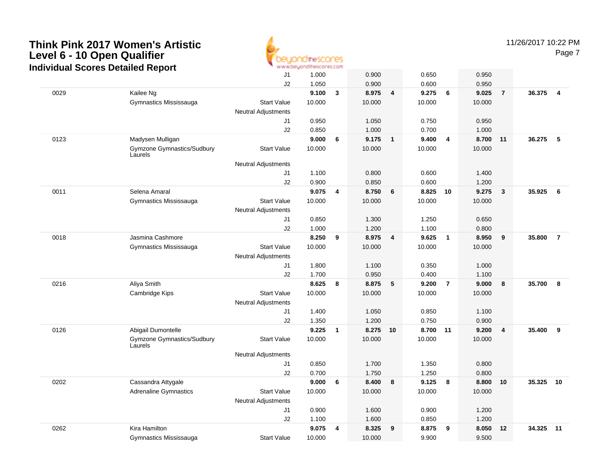

11/26/2017 10:22 PM

|      | urruudi Ocores Detaneu Report         |                                                  |        |              |          |                |        |                |        |                |        |                |
|------|---------------------------------------|--------------------------------------------------|--------|--------------|----------|----------------|--------|----------------|--------|----------------|--------|----------------|
|      |                                       | J1                                               | 1.000  |              | 0.900    |                | 0.650  |                | 0.950  |                |        |                |
|      |                                       | J2                                               | 1.050  |              | 0.900    |                | 0.600  |                | 0.950  |                |        |                |
| 0029 | Kailee Ng                             |                                                  | 9.100  | $\mathbf{3}$ | 8.975    | $\overline{4}$ | 9.275  | 6              | 9.025  | $\overline{7}$ | 36.375 | $\overline{4}$ |
|      | Gymnastics Mississauga                | <b>Start Value</b>                               | 10.000 |              | 10.000   |                | 10.000 |                | 10.000 |                |        |                |
|      |                                       | Neutral Adjustments                              |        |              |          |                |        |                |        |                |        |                |
|      |                                       | J1                                               | 0.950  |              | 1.050    |                | 0.750  |                | 0.950  |                |        |                |
|      |                                       | J2                                               | 0.850  |              | 1.000    |                | 0.700  |                | 1.000  |                |        |                |
| 0123 | Madysen Mulligan                      |                                                  | 9.000  | 6            | 9.175    | $\overline{1}$ | 9.400  | $\overline{4}$ | 8.700  | 11             | 36.275 | 5              |
|      | Gymzone Gymnastics/Sudbury<br>Laurels | <b>Start Value</b>                               | 10.000 |              | 10.000   |                | 10.000 |                | 10.000 |                |        |                |
|      |                                       | <b>Neutral Adjustments</b>                       |        |              |          |                |        |                |        |                |        |                |
|      |                                       | J1                                               | 1.100  |              | 0.800    |                | 0.600  |                | 1.400  |                |        |                |
|      |                                       | J2                                               | 0.900  |              | 0.850    |                | 0.600  |                | 1.200  |                |        |                |
| 0011 | Selena Amaral                         |                                                  | 9.075  | 4            | 8.750    | 6              | 8.825  | 10             | 9.275  | $\mathbf{3}$   | 35.925 | 6              |
|      | Gymnastics Mississauga                | <b>Start Value</b>                               | 10.000 |              | 10.000   |                | 10.000 |                | 10.000 |                |        |                |
|      |                                       | <b>Neutral Adjustments</b>                       |        |              |          |                |        |                |        |                |        |                |
|      |                                       | J1                                               | 0.850  |              | 1.300    |                | 1.250  |                | 0.650  |                |        |                |
|      | Jasmina Cashmore                      | J2                                               | 1.000  |              | 1.200    |                | 1.100  |                | 0.800  |                |        |                |
| 0018 |                                       |                                                  | 8.250  | 9            | 8.975    | $\overline{4}$ | 9.625  | $\overline{1}$ | 8.950  | 9              | 35.800 | $\overline{7}$ |
|      | Gymnastics Mississauga                | <b>Start Value</b><br><b>Neutral Adjustments</b> | 10.000 |              | 10.000   |                | 10.000 |                | 10.000 |                |        |                |
|      |                                       | J1                                               | 1.800  |              | 1.100    |                | 0.350  |                | 1.000  |                |        |                |
|      |                                       | J2                                               | 1.700  |              | 0.950    |                | 0.400  |                | 1.100  |                |        |                |
| 0216 | Aliya Smith                           |                                                  | 8.625  | 8            | 8.875    | 5              | 9.200  | $\overline{7}$ | 9.000  | 8              | 35.700 | 8              |
|      | Cambridge Kips                        | <b>Start Value</b>                               | 10.000 |              | 10.000   |                | 10.000 |                | 10.000 |                |        |                |
|      |                                       | <b>Neutral Adjustments</b>                       |        |              |          |                |        |                |        |                |        |                |
|      |                                       | J1                                               | 1.400  |              | 1.050    |                | 0.850  |                | 1.100  |                |        |                |
|      |                                       | J2                                               | 1.350  |              | 1.200    |                | 0.750  |                | 0.900  |                |        |                |
| 0126 | Abigail Dumontelle                    |                                                  | 9.225  | $\mathbf{1}$ | 8.275 10 |                | 8.700  | 11             | 9.200  | $\overline{4}$ | 35.400 | 9              |
|      | Gymzone Gymnastics/Sudbury<br>Laurels | <b>Start Value</b>                               | 10.000 |              | 10.000   |                | 10.000 |                | 10.000 |                |        |                |
|      |                                       | Neutral Adjustments                              |        |              |          |                |        |                |        |                |        |                |
|      |                                       | J1                                               | 0.850  |              | 1.700    |                | 1.350  |                | 0.800  |                |        |                |
|      |                                       | J2                                               | 0.700  |              | 1.750    |                | 1.250  |                | 0.800  |                |        |                |
| 0202 | Cassandra Attygale                    |                                                  | 9.000  | 6            | 8.400    | 8              | 9.125  | 8              | 8.800  | 10             | 35.325 | 10             |
|      | <b>Adrenaline Gymnastics</b>          | <b>Start Value</b>                               | 10.000 |              | 10.000   |                | 10.000 |                | 10.000 |                |        |                |
|      |                                       | <b>Neutral Adjustments</b>                       |        |              |          |                |        |                |        |                |        |                |
|      |                                       | J1                                               | 0.900  |              | 1.600    |                | 0.900  |                | 1.200  |                |        |                |
|      |                                       | J2                                               | 1.100  |              | 1.600    |                | 0.850  |                | 1.200  |                |        |                |
| 0262 | Kira Hamilton                         |                                                  | 9.075  | 4            | 8.325    | 9              | 8.875  | 9              | 8.050  | 12             | 34.325 | 11             |
|      | Gymnastics Mississauga                | <b>Start Value</b>                               | 10.000 |              | 10.000   |                | 9.900  |                | 9.500  |                |        |                |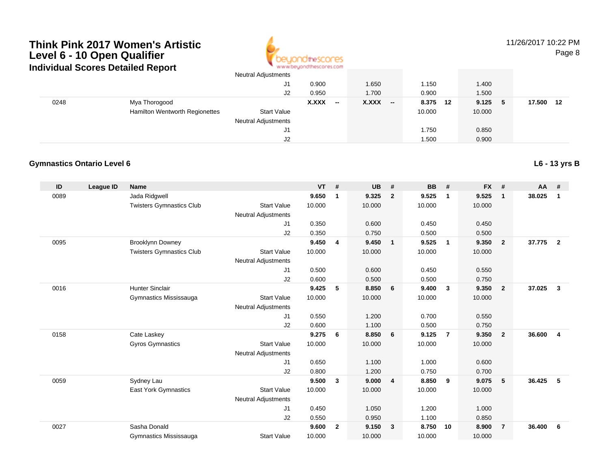

# 11/26/2017 10:22 PM

Page 8

|      |                                | J1                         | 0.900                                    | 1.650                 | 1.150       | 1.400        |              |
|------|--------------------------------|----------------------------|------------------------------------------|-----------------------|-------------|--------------|--------------|
|      |                                | J2                         | 0.950                                    | 1.700                 | 0.900       | 1.500        |              |
| 0248 | Mya Thorogood                  |                            | <b>X.XXX</b><br>$\overline{\phantom{a}}$ | <b>X.XXX</b><br>$- -$ | 8.375<br>12 | 9.125<br>- 5 | 17.500<br>12 |
|      | Hamilton Wentworth Regionettes | Start Value                |                                          |                       | 10.000      | 10.000       |              |
|      |                                | <b>Neutral Adjustments</b> |                                          |                       |             |              |              |
|      |                                | J1                         |                                          |                       | 1.750       | 0.850        |              |
|      |                                | J2                         |                                          |                       | 1.500       | 0.900        |              |

#### **Gymnastics Ontario Level 6**

**ID League ID Name VT # UB # BB # FX # AA #** 0089 Jada Ridgwell **9.650 <sup>1</sup> 9.325 <sup>2</sup> 9.525 <sup>1</sup> 9.525 <sup>1</sup> 38.025 <sup>1</sup>** Twisters Gymnastics Clubb 3tart Value 10.000 10.000 10.000 10.000 10.000 Neutral Adjustments J1 0.350 0.600 0.450 0.450 J2 0.350 0.750 0.500 0.500 0095 Brooklynn Downey **9.450 <sup>4</sup> 9.450 <sup>1</sup> 9.525 <sup>1</sup> 9.350 <sup>2</sup> 37.775 <sup>2</sup>** Twisters Gymnastics Clubb 3tart Value 10.000 10.000 10.000 10.000 10.000 Neutral Adjustments J1 0.500 0.600 0.450 0.550 J2 0.600 0.500 0.500 0.750 0016 Hunter Sinclair **9.425 <sup>5</sup> 8.850 <sup>6</sup> 9.400 <sup>3</sup> 9.350 <sup>2</sup> 37.025 <sup>3</sup>** Gymnastics Mississauga Start Value 10.000 10.000 10.000 10.000 Neutral Adjustments J1 0.550 1.200 0.700 0.550 J2 0.600 1.100 0.500 0.750 0158 Cate Laskey **9.275 <sup>6</sup> 8.850 <sup>6</sup> 9.125 <sup>7</sup> 9.350 <sup>2</sup> 36.600 <sup>4</sup>** Gyros Gymnastics Start Valuee 10.000 10.000 10.000 10.000 Neutral Adjustments J1 0.650 1.100 1.000 0.600 J2 0.800 1.200 0.750 0.700 0059 Sydney Lau **9.500 <sup>3</sup> 9.000 <sup>4</sup> 8.850 <sup>9</sup> 9.075 <sup>5</sup> 36.425 <sup>5</sup>** East York Gymnastics Start Valuee 10.000 10.000 10.000 10.000 Neutral Adjustments J1 0.450 1.050 1.200 1.000 J2 0.550 0.950 1.100 0.850 0027 Sasha Donald **9.600 <sup>2</sup> 9.150 <sup>3</sup> 8.750 <sup>10</sup> 8.900 <sup>7</sup> 36.400 <sup>6</sup>** Gymnastics MississaugaStart Value 10.000 10.000 10.000 10.000

**L6 - 13 yrs B**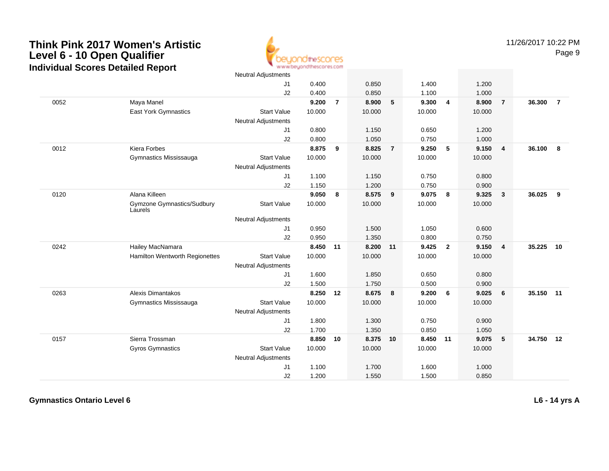

|      |                                       | <b>Neutral Adjustments</b> |        |                |        |                |        |                         |        |                         |           |                |
|------|---------------------------------------|----------------------------|--------|----------------|--------|----------------|--------|-------------------------|--------|-------------------------|-----------|----------------|
|      |                                       | J1                         | 0.400  |                | 0.850  |                | 1.400  |                         | 1.200  |                         |           |                |
|      |                                       | J2                         | 0.400  |                | 0.850  |                | 1.100  |                         | 1.000  |                         |           |                |
| 0052 | Maya Manel                            |                            | 9.200  | $\overline{7}$ | 8.900  | 5              | 9.300  | $\overline{\mathbf{4}}$ | 8.900  | $\overline{7}$          | 36.300    | $\overline{7}$ |
|      | East York Gymnastics                  | <b>Start Value</b>         | 10.000 |                | 10.000 |                | 10.000 |                         | 10.000 |                         |           |                |
|      |                                       | <b>Neutral Adjustments</b> |        |                |        |                |        |                         |        |                         |           |                |
|      |                                       | J1                         | 0.800  |                | 1.150  |                | 0.650  |                         | 1.200  |                         |           |                |
|      |                                       | J2                         | 0.800  |                | 1.050  |                | 0.750  |                         | 1.000  |                         |           |                |
| 0012 | Kiera Forbes                          |                            | 8.875  | 9              | 8.825  | $\overline{7}$ | 9.250  | 5                       | 9.150  | $\overline{4}$          | 36.100    | - 8            |
|      | Gymnastics Mississauga                | <b>Start Value</b>         | 10.000 |                | 10.000 |                | 10.000 |                         | 10.000 |                         |           |                |
|      |                                       | <b>Neutral Adjustments</b> |        |                |        |                |        |                         |        |                         |           |                |
|      |                                       | J1                         | 1.100  |                | 1.150  |                | 0.750  |                         | 0.800  |                         |           |                |
|      |                                       | J2                         | 1.150  |                | 1.200  |                | 0.750  |                         | 0.900  |                         |           |                |
| 0120 | Alana Killeen                         |                            | 9.050  | 8              | 8.575  | 9              | 9.075  | 8                       | 9.325  | $\overline{\mathbf{3}}$ | 36.025    | 9              |
|      | Gymzone Gymnastics/Sudbury<br>Laurels | <b>Start Value</b>         | 10.000 |                | 10.000 |                | 10.000 |                         | 10.000 |                         |           |                |
|      |                                       | <b>Neutral Adjustments</b> |        |                |        |                |        |                         |        |                         |           |                |
|      |                                       | J1                         | 0.950  |                | 1.500  |                | 1.050  |                         | 0.600  |                         |           |                |
|      |                                       | J2                         | 0.950  |                | 1.350  |                | 0.800  |                         | 0.750  |                         |           |                |
| 0242 | Hailey MacNamara                      |                            | 8.450  | 11             | 8.200  | 11             | 9.425  | $\overline{2}$          | 9.150  | $\overline{4}$          | 35.225    | 10             |
|      | Hamilton Wentworth Regionettes        | <b>Start Value</b>         | 10.000 |                | 10.000 |                | 10.000 |                         | 10.000 |                         |           |                |
|      |                                       | Neutral Adjustments        |        |                |        |                |        |                         |        |                         |           |                |
|      |                                       | J1                         | 1.600  |                | 1.850  |                | 0.650  |                         | 0.800  |                         |           |                |
|      |                                       | J2                         | 1.500  |                | 1.750  |                | 0.500  |                         | 0.900  |                         |           |                |
| 0263 | <b>Alexis Dimantakos</b>              |                            | 8.250  | 12             | 8.675  | 8              | 9.200  | 6                       | 9.025  | 6                       | 35.150 11 |                |
|      | Gymnastics Mississauga                | <b>Start Value</b>         | 10.000 |                | 10.000 |                | 10.000 |                         | 10.000 |                         |           |                |
|      |                                       | <b>Neutral Adjustments</b> |        |                |        |                |        |                         |        |                         |           |                |
|      |                                       | J1                         | 1.800  |                | 1.300  |                | 0.750  |                         | 0.900  |                         |           |                |
|      |                                       | J2                         | 1.700  |                | 1.350  |                | 0.850  |                         | 1.050  |                         |           |                |
| 0157 | Sierra Trossman                       |                            | 8.850  | 10             | 8.375  | 10             | 8.450  | 11                      | 9.075  | $\sqrt{5}$              | 34.750    | 12             |
|      | <b>Gyros Gymnastics</b>               | <b>Start Value</b>         | 10.000 |                | 10.000 |                | 10.000 |                         | 10.000 |                         |           |                |
|      |                                       | <b>Neutral Adjustments</b> |        |                |        |                |        |                         |        |                         |           |                |
|      |                                       | J1                         | 1.100  |                | 1.700  |                | 1.600  |                         | 1.000  |                         |           |                |
|      |                                       | J2                         | 1.200  |                | 1.550  |                | 1.500  |                         | 0.850  |                         |           |                |

**Gymnastics Ontario Level 6**

**L6 - 14 yrs A**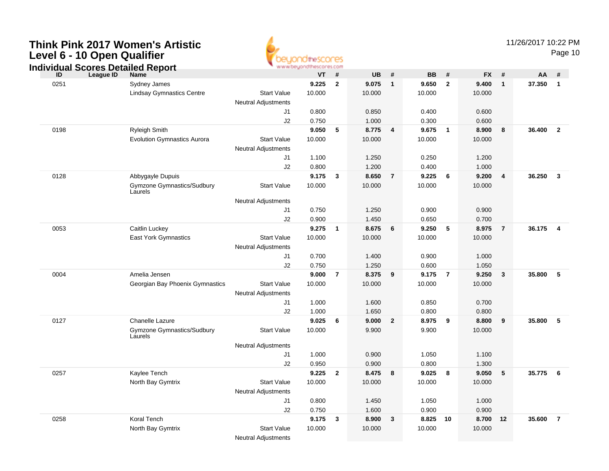

|      | ndividual Scores Detailed Report      |                            | www.beyondthescores.com |                |           |                |           |                |           |                         |        |                         |
|------|---------------------------------------|----------------------------|-------------------------|----------------|-----------|----------------|-----------|----------------|-----------|-------------------------|--------|-------------------------|
| ID   | League ID<br><b>Name</b>              |                            | <b>VT</b>               | #              | <b>UB</b> | #              | <b>BB</b> | #              | <b>FX</b> | - #                     | AA     | #                       |
| 0251 | Sydney James                          |                            | 9.225                   | $\overline{2}$ | 9.075     | $\mathbf{1}$   | 9.650     | $\overline{2}$ | 9.400     | $\mathbf{1}$            | 37.350 | $\mathbf{1}$            |
|      | <b>Lindsay Gymnastics Centre</b>      | <b>Start Value</b>         | 10.000                  |                | 10.000    |                | 10.000    |                | 10.000    |                         |        |                         |
|      |                                       | <b>Neutral Adjustments</b> |                         |                |           |                |           |                |           |                         |        |                         |
|      |                                       | J1                         | 0.800                   |                | 0.850     |                | 0.400     |                | 0.600     |                         |        |                         |
|      |                                       | J2                         | 0.750                   |                | 1.000     |                | 0.300     |                | 0.600     |                         |        |                         |
| 0198 | <b>Ryleigh Smith</b>                  |                            | 9.050                   | 5              | 8.775     | $\overline{4}$ | 9.675     | $\overline{1}$ | 8.900     | 8                       | 36.400 | $\overline{2}$          |
|      | <b>Evolution Gymnastics Aurora</b>    | <b>Start Value</b>         | 10.000                  |                | 10.000    |                | 10.000    |                | 10.000    |                         |        |                         |
|      |                                       | <b>Neutral Adjustments</b> |                         |                |           |                |           |                |           |                         |        |                         |
|      |                                       | J1                         | 1.100                   |                | 1.250     |                | 0.250     |                | 1.200     |                         |        |                         |
|      |                                       | J2                         | 0.800                   |                | 1.200     |                | 0.400     |                | 1.000     |                         |        |                         |
| 0128 | Abbygayle Dupuis                      |                            | 9.175                   | 3              | 8.650     | $\overline{7}$ | 9.225     | 6              | 9.200     | $\overline{4}$          | 36.250 | $\overline{\mathbf{3}}$ |
|      | Gymzone Gymnastics/Sudbury<br>Laurels | <b>Start Value</b>         | 10.000                  |                | 10.000    |                | 10.000    |                | 10.000    |                         |        |                         |
|      |                                       | <b>Neutral Adjustments</b> |                         |                |           |                |           |                |           |                         |        |                         |
|      |                                       | J1                         | 0.750                   |                | 1.250     |                | 0.900     |                | 0.900     |                         |        |                         |
|      |                                       | J2                         | 0.900                   |                | 1.450     |                | 0.650     |                | 0.700     |                         |        |                         |
| 0053 | Caitlin Luckey                        |                            | 9.275                   | $\overline{1}$ | 8.675     | 6              | 9.250     | 5              | 8.975     | $\overline{7}$          | 36.175 | $\overline{4}$          |
|      | East York Gymnastics                  | <b>Start Value</b>         | 10.000                  |                | 10.000    |                | 10.000    |                | 10.000    |                         |        |                         |
|      |                                       | <b>Neutral Adjustments</b> |                         |                |           |                |           |                |           |                         |        |                         |
|      |                                       | J1                         | 0.700                   |                | 1.400     |                | 0.900     |                | 1.000     |                         |        |                         |
|      |                                       | J2                         | 0.750                   |                | 1.250     |                | 0.600     |                | 1.050     |                         |        |                         |
| 0004 | Amelia Jensen                         |                            | 9.000                   | $\overline{7}$ | 8.375     | 9              | 9.175     | $\overline{7}$ | 9.250     | $\mathbf{3}$            | 35.800 | 5                       |
|      | Georgian Bay Phoenix Gymnastics       | <b>Start Value</b>         | 10.000                  |                | 10.000    |                | 10.000    |                | 10.000    |                         |        |                         |
|      |                                       | <b>Neutral Adjustments</b> |                         |                |           |                |           |                |           |                         |        |                         |
|      |                                       | J1                         | 1.000                   |                | 1.600     |                | 0.850     |                | 0.700     |                         |        |                         |
|      |                                       | J2                         | 1.000                   |                | 1.650     |                | 0.800     |                | 0.800     |                         |        |                         |
| 0127 | Chanelle Lazure                       |                            | 9.025                   | 6              | 9.000     | $\overline{2}$ | 8.975     | 9              | 8.800     | $\overline{\mathbf{9}}$ | 35.800 | 5                       |
|      | Gymzone Gymnastics/Sudbury<br>Laurels | <b>Start Value</b>         | 10.000                  |                | 9.900     |                | 9.900     |                | 10.000    |                         |        |                         |
|      |                                       | <b>Neutral Adjustments</b> |                         |                |           |                |           |                |           |                         |        |                         |
|      |                                       | J1                         | 1.000                   |                | 0.900     |                | 1.050     |                | 1.100     |                         |        |                         |
|      |                                       | J2                         | 0.950                   |                | 0.900     |                | 0.800     |                | 1.300     |                         |        |                         |
| 0257 | Kaylee Tench                          |                            | 9.225                   | $\overline{2}$ | 8.475     | 8              | 9.025     | 8              | 9.050     | 5                       | 35.775 | $6\overline{6}$         |
|      | North Bay Gymtrix                     | <b>Start Value</b>         | 10.000                  |                | 10.000    |                | 10.000    |                | 10.000    |                         |        |                         |
|      |                                       | <b>Neutral Adjustments</b> |                         |                |           |                |           |                |           |                         |        |                         |
|      |                                       | J1                         | 0.800                   |                | 1.450     |                | 1.050     |                | 1.000     |                         |        |                         |
|      |                                       | J2                         | 0.750                   |                | 1.600     |                | 0.900     |                | 0.900     |                         |        |                         |
| 0258 | Koral Tench                           |                            | 9.175                   | 3              | 8.900     | 3              | 8.825     | 10             | 8.700     | 12                      | 35.600 | $\overline{7}$          |
|      | North Bay Gymtrix                     | <b>Start Value</b>         | 10.000                  |                | 10.000    |                | 10.000    |                | 10.000    |                         |        |                         |
|      |                                       | <b>Neutral Adjustments</b> |                         |                |           |                |           |                |           |                         |        |                         |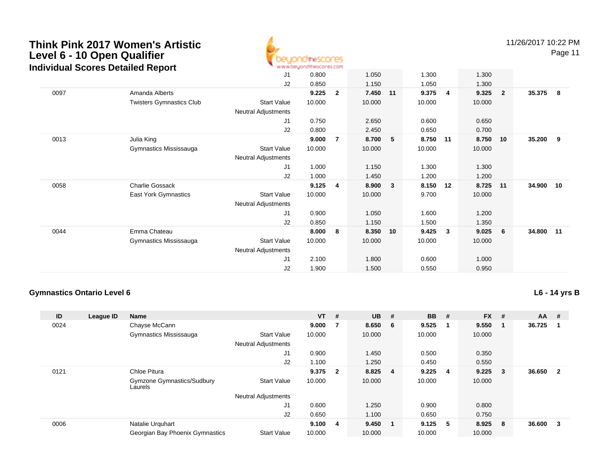

11/26/2017 10:22 PM

Page 11

|      |                                 | J <sub>1</sub>             | 0.800  |                | 1.050  |    | 1.300  |    | 1.300  |                         |        |      |
|------|---------------------------------|----------------------------|--------|----------------|--------|----|--------|----|--------|-------------------------|--------|------|
|      |                                 | J2                         | 0.850  |                | 1.150  |    | 1.050  |    | 1.300  |                         |        |      |
| 0097 | Amanda Alberts                  |                            | 9.225  | $\mathbf{2}$   | 7.450  | 11 | 9.375  | 4  | 9.325  | $\overline{\mathbf{2}}$ | 35.375 | - 8  |
|      | <b>Twisters Gymnastics Club</b> | <b>Start Value</b>         | 10.000 |                | 10.000 |    | 10.000 |    | 10.000 |                         |        |      |
|      |                                 | Neutral Adjustments        |        |                |        |    |        |    |        |                         |        |      |
|      |                                 | J <sub>1</sub>             | 0.750  |                | 2.650  |    | 0.600  |    | 0.650  |                         |        |      |
|      |                                 | J <sub>2</sub>             | 0.800  |                | 2.450  |    | 0.650  |    | 0.700  |                         |        |      |
| 0013 | Julia King                      |                            | 9.000  | $\overline{7}$ | 8.700  | -5 | 8.750  | 11 | 8.750  | 10                      | 35.200 | - 9  |
|      | Gymnastics Mississauga          | <b>Start Value</b>         | 10.000 |                | 10.000 |    | 10.000 |    | 10.000 |                         |        |      |
|      |                                 | <b>Neutral Adjustments</b> |        |                |        |    |        |    |        |                         |        |      |
|      |                                 | J1                         | 1.000  |                | 1.150  |    | 1.300  |    | 1.300  |                         |        |      |
|      |                                 | J2                         | 1.000  |                | 1.450  |    | 1.200  |    | 1.200  |                         |        |      |
| 0058 | Charlie Gossack                 |                            | 9.125  | 4              | 8.900  | 3  | 8.150  | 12 | 8.725  | 11                      | 34.900 | 10   |
|      | East York Gymnastics            | <b>Start Value</b>         | 10.000 |                | 10.000 |    | 9.700  |    | 10.000 |                         |        |      |
|      |                                 | Neutral Adjustments        |        |                |        |    |        |    |        |                         |        |      |
|      |                                 | J <sub>1</sub>             | 0.900  |                | 1.050  |    | 1.600  |    | 1.200  |                         |        |      |
|      |                                 | J2                         | 0.850  |                | 1.150  |    | 1.500  |    | 1.350  |                         |        |      |
| 0044 | Emma Chateau                    |                            | 8.000  | 8              | 8.350  | 10 | 9.425  | 3  | 9.025  | 6                       | 34.800 | - 11 |
|      | Gymnastics Mississauga          | <b>Start Value</b>         | 10.000 |                | 10.000 |    | 10.000 |    | 10.000 |                         |        |      |
|      |                                 | <b>Neutral Adjustments</b> |        |                |        |    |        |    |        |                         |        |      |
|      |                                 | J <sub>1</sub>             | 2.100  |                | 1.800  |    | 0.600  |    | 1.000  |                         |        |      |
|      |                                 | J <sub>2</sub>             | 1.900  |                | 1.500  |    | 0.550  |    | 0.950  |                         |        |      |
|      |                                 |                            |        |                |        |    |        |    |        |                         |        |      |

#### **Gymnastics Ontario Level 6**

**L6 - 14 yrs B**

| ID   | League ID | Name                                  |                            | $VT$ # |                         | <b>UB</b> | #                       | <b>BB</b> | #  | <b>FX</b> | # | $AA$ # |                |
|------|-----------|---------------------------------------|----------------------------|--------|-------------------------|-----------|-------------------------|-----------|----|-----------|---|--------|----------------|
| 0024 |           | Chayse McCann                         |                            | 9.000  |                         | 8.650     | - 6                     | 9.525     | -1 | 9.550     |   | 36.725 |                |
|      |           | Gymnastics Mississauga                | <b>Start Value</b>         | 10.000 |                         | 10.000    |                         | 10.000    |    | 10.000    |   |        |                |
|      |           |                                       | <b>Neutral Adjustments</b> |        |                         |           |                         |           |    |           |   |        |                |
|      |           |                                       | J1                         | 0.900  |                         | 1.450     |                         | 0.500     |    | 0.350     |   |        |                |
|      |           |                                       | J2                         | 1.100  |                         | 1.250     |                         | 0.450     |    | 0.550     |   |        |                |
| 0121 |           | Chloe Pitura                          |                            | 9.375  | $\overline{\mathbf{2}}$ | 8.825     | $\overline{\mathbf{4}}$ | 9.225     | 4  | 9.225     | 3 | 36.650 | $\overline{2}$ |
|      |           | Gymzone Gymnastics/Sudbury<br>Laurels | <b>Start Value</b>         | 10.000 |                         | 10.000    |                         | 10.000    |    | 10.000    |   |        |                |
|      |           |                                       | <b>Neutral Adjustments</b> |        |                         |           |                         |           |    |           |   |        |                |
|      |           |                                       | J1                         | 0.600  |                         | 1.250     |                         | 0.900     |    | 0.800     |   |        |                |
|      |           |                                       | J2                         | 0.650  |                         | 1.100     |                         | 0.650     |    | 0.750     |   |        |                |
| 0006 |           | Natalie Urquhart                      |                            | 9.100  | - 4                     | 9.450     | - 1                     | 9.125     | -5 | 8.925     | 8 | 36.600 | 3              |
|      |           | Georgian Bay Phoenix Gymnastics       | <b>Start Value</b>         | 10.000 |                         | 10.000    |                         | 10.000    |    | 10.000    |   |        |                |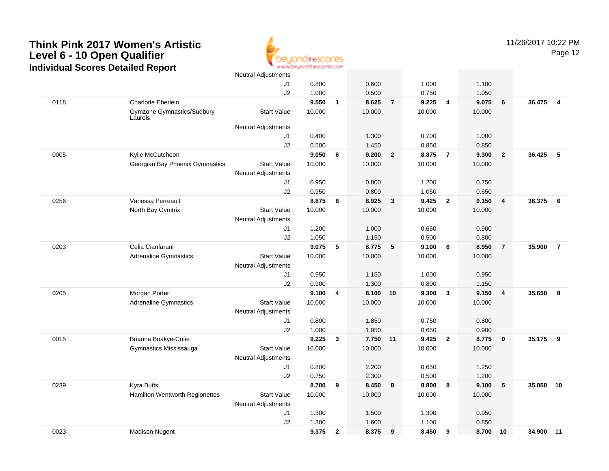

|      |                                       | ινσαιιαι παμουπισιπο       |        |                |          |                |        |                |        |                         |        |                |
|------|---------------------------------------|----------------------------|--------|----------------|----------|----------------|--------|----------------|--------|-------------------------|--------|----------------|
|      |                                       | J1                         | 0.800  |                | 0.600    |                | 1.000  |                | 1.100  |                         |        |                |
|      |                                       | J2                         | 1.000  |                | 0.500    |                | 0.750  |                | 1.050  |                         |        |                |
| 0118 | <b>Charlotte Eberlein</b>             |                            | 9.550  | $\mathbf{1}$   | 8.625    | $\overline{7}$ | 9.225  | $\overline{4}$ | 9.075  | 6                       | 36.475 | $\overline{4}$ |
|      | Gymzone Gymnastics/Sudbury<br>Laurels | <b>Start Value</b>         | 10.000 |                | 10.000   |                | 10.000 |                | 10.000 |                         |        |                |
|      |                                       | <b>Neutral Adjustments</b> |        |                |          |                |        |                |        |                         |        |                |
|      |                                       | J1                         | 0.400  |                | 1.300    |                | 0.700  |                | 1.000  |                         |        |                |
|      |                                       | J2                         | 0.500  |                | 1.450    |                | 0.850  |                | 0.850  |                         |        |                |
| 0005 | Kylie McCutcheon                      |                            | 9.050  | 6              | 9.200    | $\overline{2}$ | 8.875  | $\overline{7}$ | 9.300  | $\overline{2}$          | 36.425 | -5             |
|      | Georgian Bay Phoenix Gymnastics       | <b>Start Value</b>         | 10.000 |                | 10.000   |                | 10.000 |                | 10.000 |                         |        |                |
|      |                                       | <b>Neutral Adjustments</b> |        |                |          |                |        |                |        |                         |        |                |
|      |                                       | J1                         | 0.950  |                | 0.800    |                | 1.200  |                | 0.750  |                         |        |                |
|      |                                       | J2                         | 0.950  |                | 0.800    |                | 1.050  |                | 0.650  |                         |        |                |
| 0256 | Vanessa Perreault                     |                            | 8.875  | 8              | 8.925    | $\mathbf{3}$   | 9.425  | $\overline{2}$ | 9.150  | $\overline{\mathbf{4}}$ | 36.375 | 6              |
|      | North Bay Gymtrix                     | <b>Start Value</b>         | 10.000 |                | 10.000   |                | 10.000 |                | 10.000 |                         |        |                |
|      |                                       | <b>Neutral Adjustments</b> |        |                |          |                |        |                |        |                         |        |                |
|      |                                       | J1                         | 1.200  |                | 1.000    |                | 0.650  |                | 0.900  |                         |        |                |
|      |                                       | J2                         | 1.050  |                | 1.150    |                | 0.500  |                | 0.800  |                         |        |                |
| 0203 | Celia Cianfarani                      |                            | 9.075  | 5              | 8.775    | $\sqrt{5}$     | 9.100  | 6              | 8.950  | $\overline{7}$          | 35.900 | $\overline{7}$ |
|      | <b>Adrenaline Gymnastics</b>          | <b>Start Value</b>         | 10.000 |                | 10.000   |                | 10.000 |                | 10.000 |                         |        |                |
|      |                                       | Neutral Adjustments        |        |                |          |                |        |                |        |                         |        |                |
|      |                                       | J1                         | 0.950  |                | 1.150    |                | 1.000  |                | 0.950  |                         |        |                |
|      |                                       | J2                         | 0.900  |                | 1.300    |                | 0.800  |                | 1.150  |                         |        |                |
| 0205 | Morgan Porter                         |                            | 9.100  | 4              | 8.100 10 |                | 9.300  | $\mathbf{3}$   | 9.150  | $\overline{\mathbf{4}}$ | 35.650 | 8              |
|      | <b>Adrenaline Gymnastics</b>          | <b>Start Value</b>         | 10.000 |                | 10.000   |                | 10.000 |                | 10.000 |                         |        |                |
|      |                                       | <b>Neutral Adjustments</b> |        |                |          |                |        |                |        |                         |        |                |
|      |                                       | J1                         | 0.800  |                | 1.850    |                | 0.750  |                | 0.800  |                         |        |                |
|      |                                       | J2                         | 1.000  |                | 1.950    |                | 0.650  |                | 0.900  |                         |        |                |
| 0015 | Brianna Boakye-Cofie                  |                            | 9.225  | 3              | 7.750 11 |                | 9.425  | $\overline{2}$ | 8.775  | 9                       | 35.175 | 9              |
|      | Gymnastics Mississauga                | <b>Start Value</b>         | 10.000 |                | 10.000   |                | 10.000 |                | 10.000 |                         |        |                |
|      |                                       | <b>Neutral Adjustments</b> |        |                |          |                |        |                |        |                         |        |                |
|      |                                       | J1                         | 0.800  |                | 2.200    |                | 0.650  |                | 1.250  |                         |        |                |
|      |                                       | J2                         | 0.750  |                | 2.300    |                | 0.500  |                | 1.200  |                         |        |                |
| 0239 | Kyra Butts                            |                            | 8.700  | 9              | 8.450    | 8              | 8.800  | 8              | 9.100  | 5                       | 35.050 | 10             |
|      | Hamilton Wentworth Regionettes        | <b>Start Value</b>         | 10.000 |                | 10.000   |                | 10.000 |                | 10.000 |                         |        |                |
|      |                                       | Neutral Adjustments        |        |                |          |                |        |                |        |                         |        |                |
|      |                                       | J1                         | 1.300  |                | 1.500    |                | 1.300  |                | 0.950  |                         |        |                |
|      |                                       | J2                         | 1.300  |                | 1.600    |                | 1.100  |                | 0.850  |                         |        |                |
| 0023 | <b>Madison Nugent</b>                 |                            | 9.375  | $\overline{2}$ | 8.375    | 9              | 8.450  | 9              | 8.700  | 10                      | 34.900 | 11             |
|      |                                       |                            |        |                |          |                |        |                |        |                         |        |                |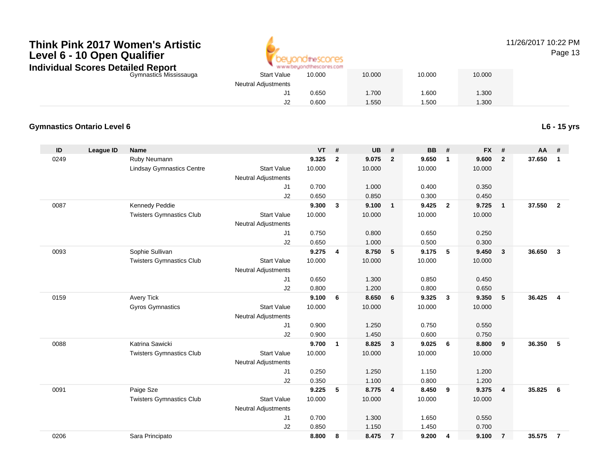

## 11/26/2017 10:22 PM

Page 13

| σιαιισα πορυπ          |                            |        |        |        |        |  |
|------------------------|----------------------------|--------|--------|--------|--------|--|
| Gymnastics Mississauga | <b>Start Value</b>         | 10.000 | 10.000 | 10.000 | 10.000 |  |
|                        | <b>Neutral Adjustments</b> |        |        |        |        |  |
|                        | J1                         | 0.650  | 1.700  | 1.600  | 1.300  |  |
|                        | J2                         | 0.600  | .550   | .500   | 1.300  |  |
|                        |                            |        |        |        |        |  |

#### **Gymnastics Ontario Level 6**

**L6 - 15 yrs**

| ID   | <b>League ID</b> | Name                             |                            | <b>VT</b> | #                       | <b>UB</b> | #                       | <b>BB</b> | #                       | <b>FX</b> | #              | <b>AA</b> | #              |
|------|------------------|----------------------------------|----------------------------|-----------|-------------------------|-----------|-------------------------|-----------|-------------------------|-----------|----------------|-----------|----------------|
| 0249 |                  | Ruby Neumann                     |                            | 9.325     | $\overline{2}$          | 9.075     | $\overline{2}$          | 9.650     | $\mathbf{1}$            | 9.600     | $\overline{2}$ | 37.650    | $\mathbf{1}$   |
|      |                  | <b>Lindsay Gymnastics Centre</b> | <b>Start Value</b>         | 10.000    |                         | 10.000    |                         | 10.000    |                         | 10.000    |                |           |                |
|      |                  |                                  | <b>Neutral Adjustments</b> |           |                         |           |                         |           |                         |           |                |           |                |
|      |                  |                                  | J1                         | 0.700     |                         | 1.000     |                         | 0.400     |                         | 0.350     |                |           |                |
|      |                  |                                  | J2                         | 0.650     |                         | 0.850     |                         | 0.300     |                         | 0.450     |                |           |                |
| 0087 |                  | Kennedy Peddie                   |                            | 9.300     | 3                       | 9.100     | $\overline{\mathbf{1}}$ | 9.425     | $\overline{\mathbf{2}}$ | 9.725     | $\mathbf{1}$   | 37.550    | $\overline{2}$ |
|      |                  | <b>Twisters Gymnastics Club</b>  | <b>Start Value</b>         | 10.000    |                         | 10.000    |                         | 10.000    |                         | 10.000    |                |           |                |
|      |                  |                                  | <b>Neutral Adjustments</b> |           |                         |           |                         |           |                         |           |                |           |                |
|      |                  |                                  | J1                         | 0.750     |                         | 0.800     |                         | 0.650     |                         | 0.250     |                |           |                |
|      |                  |                                  | J2                         | 0.650     |                         | 1.000     |                         | 0.500     |                         | 0.300     |                |           |                |
| 0093 |                  | Sophie Sullivan                  |                            | 9.275     | $\overline{\mathbf{4}}$ | 8.750     | 5                       | 9.175     | 5                       | 9.450     | $\mathbf{3}$   | 36.650    | 3              |
|      |                  | <b>Twisters Gymnastics Club</b>  | <b>Start Value</b>         | 10.000    |                         | 10.000    |                         | 10.000    |                         | 10.000    |                |           |                |
|      |                  |                                  | <b>Neutral Adjustments</b> |           |                         |           |                         |           |                         |           |                |           |                |
|      |                  |                                  | J1                         | 0.650     |                         | 1.300     |                         | 0.850     |                         | 0.450     |                |           |                |
|      |                  |                                  | J2                         | 0.800     |                         | 1.200     |                         | 0.800     |                         | 0.650     |                |           |                |
| 0159 |                  | <b>Avery Tick</b>                |                            | 9.100     | 6                       | 8.650     | 6                       | 9.325     | $\mathbf{3}$            | 9.350     | 5              | 36.425    | $\overline{4}$ |
|      |                  | Gyros Gymnastics                 | <b>Start Value</b>         | 10.000    |                         | 10.000    |                         | 10.000    |                         | 10.000    |                |           |                |
|      |                  |                                  | Neutral Adjustments        |           |                         |           |                         |           |                         |           |                |           |                |
|      |                  |                                  | J1                         | 0.900     |                         | 1.250     |                         | 0.750     |                         | 0.550     |                |           |                |
|      |                  |                                  | J2                         | 0.900     |                         | 1.450     |                         | 0.600     |                         | 0.750     |                |           |                |
| 0088 |                  | Katrina Sawicki                  |                            | 9.700     | $\mathbf{1}$            | 8.825     | $\mathbf{3}$            | 9.025     | 6                       | 8.800     | 9              | 36.350    | 5              |
|      |                  | <b>Twisters Gymnastics Club</b>  | <b>Start Value</b>         | 10.000    |                         | 10.000    |                         | 10.000    |                         | 10.000    |                |           |                |
|      |                  |                                  | <b>Neutral Adjustments</b> |           |                         |           |                         |           |                         |           |                |           |                |
|      |                  |                                  | J1                         | 0.250     |                         | 1.250     |                         | 1.150     |                         | 1.200     |                |           |                |
|      |                  |                                  | J2                         | 0.350     |                         | 1.100     |                         | 0.800     |                         | 1.200     |                |           |                |
| 0091 |                  | Paige Sze                        |                            | 9.225     | 5                       | 8.775     | $\overline{4}$          | 8.450     | 9                       | 9.375     | $\overline{4}$ | 35.825    | 6              |
|      |                  | <b>Twisters Gymnastics Club</b>  | <b>Start Value</b>         | 10.000    |                         | 10.000    |                         | 10.000    |                         | 10.000    |                |           |                |
|      |                  |                                  | <b>Neutral Adjustments</b> |           |                         |           |                         |           |                         |           |                |           |                |
|      |                  |                                  | J1                         | 0.700     |                         | 1.300     |                         | 1.650     |                         | 0.550     |                |           |                |
|      |                  |                                  | J2                         | 0.850     |                         | 1.150     |                         | 1.450     |                         | 0.700     |                |           |                |
| 0206 |                  | Sara Principato                  |                            | 8.800     | 8                       | 8.475     | $\overline{7}$          | 9.200     | 4                       | 9.100     | $\overline{7}$ | 35.575    | $\overline{7}$ |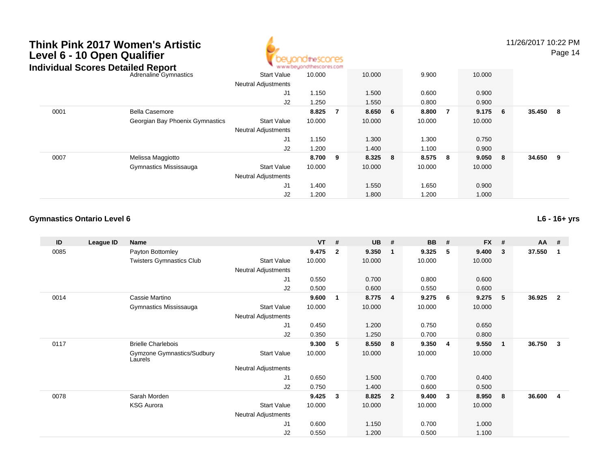

11/26/2017 10:22 PM

Page 14

| <b>naiviauai Scores Detailed Report</b> |                                 |                            | . M.M.M.DB/TOURISCOLB7.COM |   |         |         |     |           |          |     |
|-----------------------------------------|---------------------------------|----------------------------|----------------------------|---|---------|---------|-----|-----------|----------|-----|
|                                         | Adrenaline Gymnastics           | <b>Start Value</b>         | 10.000                     |   | 10.000  | 9.900   |     | 10.000    |          |     |
|                                         |                                 | <b>Neutral Adjustments</b> |                            |   |         |         |     |           |          |     |
|                                         |                                 | J1                         | 1.150                      |   | 1.500   | 0.600   |     | 0.900     |          |     |
|                                         |                                 | J2                         | 1.250                      |   | 1.550   | 0.800   |     | 0.900     |          |     |
| 0001                                    | <b>Bella Casemore</b>           |                            | 8.825                      |   | 8.650 6 | 8.800   | - 7 | $9.175$ 6 | 35.450 8 |     |
|                                         | Georgian Bay Phoenix Gymnastics | <b>Start Value</b>         | 10.000                     |   | 10.000  | 10.000  |     | 10.000    |          |     |
|                                         |                                 | <b>Neutral Adjustments</b> |                            |   |         |         |     |           |          |     |
|                                         |                                 | J1                         | 1.150                      |   | 1.300   | 1.300   |     | 0.750     |          |     |
|                                         |                                 | J2                         | 1.200                      |   | 1.400   | 1.100   |     | 0.900     |          |     |
| 0007                                    | Melissa Maggiotto               |                            | 8.700                      | 9 | 8.325 8 | 8.575 8 |     | 9.050 8   | 34.650   | - 9 |
|                                         | Gymnastics Mississauga          | <b>Start Value</b>         | 10.000                     |   | 10.000  | 10.000  |     | 10.000    |          |     |
|                                         |                                 | <b>Neutral Adjustments</b> |                            |   |         |         |     |           |          |     |
|                                         |                                 | J <sub>1</sub>             | 1.400                      |   | 1.550   | 1.650   |     | 0.900     |          |     |
|                                         |                                 | J2                         | 1.200                      |   | 1.800   | 1.200   |     | 1.000     |          |     |

#### **Gymnastics Ontario Level 6**

**L6 - 16+ yrs**

| ID   | League ID | Name                                  |                            | $VT$ # |              | <b>UB</b> | #              | <b>BB</b> | #  | <b>FX</b> | #           | $AA$ # |                         |
|------|-----------|---------------------------------------|----------------------------|--------|--------------|-----------|----------------|-----------|----|-----------|-------------|--------|-------------------------|
| 0085 |           | Payton Bottomley                      |                            | 9.475  | $\mathbf{2}$ | 9.350     | -1             | 9.325     | 5  | 9.400     | 3           | 37.550 | $\mathbf 1$             |
|      |           | <b>Twisters Gymnastics Club</b>       | <b>Start Value</b>         | 10.000 |              | 10.000    |                | 10.000    |    | 10.000    |             |        |                         |
|      |           |                                       | Neutral Adjustments        |        |              |           |                |           |    |           |             |        |                         |
|      |           |                                       | J1                         | 0.550  |              | 0.700     |                | 0.800     |    | 0.600     |             |        |                         |
|      |           |                                       | J2                         | 0.500  |              | 0.600     |                | 0.550     |    | 0.600     |             |        |                         |
| 0014 |           | Cassie Martino                        |                            | 9.600  | 1            | 8.775     | $\overline{4}$ | 9.275     | 6  | 9.275     | 5           | 36.925 | $\overline{2}$          |
|      |           | Gymnastics Mississauga                | <b>Start Value</b>         | 10.000 |              | 10.000    |                | 10.000    |    | 10.000    |             |        |                         |
|      |           |                                       | <b>Neutral Adjustments</b> |        |              |           |                |           |    |           |             |        |                         |
|      |           |                                       | J1                         | 0.450  |              | 1.200     |                | 0.750     |    | 0.650     |             |        |                         |
|      |           |                                       | J <sub>2</sub>             | 0.350  |              | 1.250     |                | 0.700     |    | 0.800     |             |        |                         |
| 0117 |           | <b>Brielle Charlebois</b>             |                            | 9.300  | 5            | 8.550     | $\bf{8}$       | 9.350     | -4 | 9.550     | $\mathbf 1$ | 36.750 | $\overline{\mathbf{3}}$ |
|      |           | Gymzone Gymnastics/Sudbury<br>Laurels | <b>Start Value</b>         | 10.000 |              | 10.000    |                | 10.000    |    | 10.000    |             |        |                         |
|      |           |                                       | <b>Neutral Adjustments</b> |        |              |           |                |           |    |           |             |        |                         |
|      |           |                                       | J1                         | 0.650  |              | 1.500     |                | 0.700     |    | 0.400     |             |        |                         |
|      |           |                                       | J2                         | 0.750  |              | 1.400     |                | 0.600     |    | 0.500     |             |        |                         |
| 0078 |           | Sarah Morden                          |                            | 9.425  | 3            | 8.825     | $\overline{2}$ | 9.400     | -3 | 8.950     | 8           | 36.600 | $\overline{4}$          |
|      |           | <b>KSG Aurora</b>                     | <b>Start Value</b>         | 10.000 |              | 10.000    |                | 10.000    |    | 10.000    |             |        |                         |
|      |           |                                       | <b>Neutral Adjustments</b> |        |              |           |                |           |    |           |             |        |                         |
|      |           |                                       | J1                         | 0.600  |              | 1.150     |                | 0.700     |    | 1.000     |             |        |                         |
|      |           |                                       | J <sub>2</sub>             | 0.550  |              | 1.200     |                | 0.500     |    | 1.100     |             |        |                         |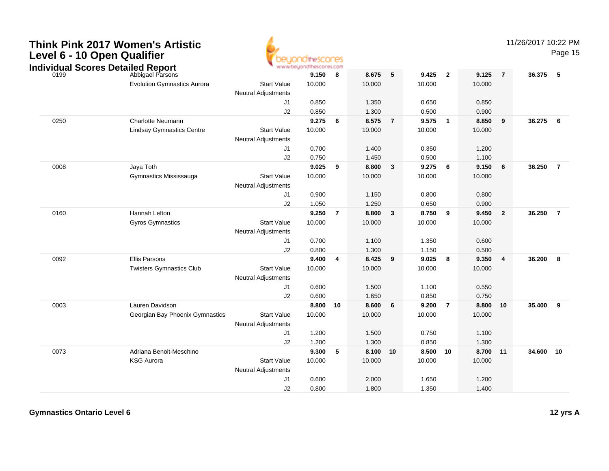|                             | <b>Think Pink 2017 Women's Artistic</b> |
|-----------------------------|-----------------------------------------|
| Level 6 - 10 Open Qualifier |                                         |



11/26/2017 10:22 PM

|                                                  |                                    | vayur                                            | www.beyondthescores.com |                |                |                |                |                |                   |                         |          |                |
|--------------------------------------------------|------------------------------------|--------------------------------------------------|-------------------------|----------------|----------------|----------------|----------------|----------------|-------------------|-------------------------|----------|----------------|
| <b>Individual Scores Detailed Report</b><br>0199 | Abbigael Parsons                   |                                                  | 9.150                   | 8              | 8.675          | 5              | 9.425          | $\overline{2}$ | 9.125             | $\overline{7}$          | 36.375 5 |                |
|                                                  | <b>Evolution Gymnastics Aurora</b> | <b>Start Value</b><br><b>Neutral Adjustments</b> | 10.000                  |                | 10.000         |                | 10.000         |                | 10.000            |                         |          |                |
|                                                  |                                    | J <sub>1</sub>                                   | 0.850                   |                | 1.350          |                | 0.650          |                | 0.850             |                         |          |                |
|                                                  |                                    | J2                                               | 0.850                   |                | 1.300          |                | 0.500          |                | 0.900             |                         |          |                |
| 0250                                             | <b>Charlotte Neumann</b>           |                                                  | 9.275                   | 6              | 8.575          | $\overline{7}$ | 9.575          | $\mathbf{1}$   | 8.850             | $_{9}$                  | 36.275   | 6              |
|                                                  | <b>Lindsay Gymnastics Centre</b>   | <b>Start Value</b>                               | 10.000                  |                | 10.000         |                | 10.000         |                | 10.000            |                         |          |                |
|                                                  |                                    | <b>Neutral Adjustments</b>                       |                         |                |                |                |                |                |                   |                         |          |                |
|                                                  |                                    | J <sub>1</sub>                                   | 0.700                   |                | 1.400          |                | 0.350          |                | 1.200             |                         |          |                |
|                                                  |                                    | J2                                               | 0.750                   |                | 1.450          |                | 0.500          |                | 1.100             |                         |          |                |
| 0008                                             | Jaya Toth                          |                                                  | 9.025                   | 9              | 8.800          | 3              | 9.275          | 6              | 9.150             | 6                       | 36.250   | $\overline{7}$ |
|                                                  | Gymnastics Mississauga             | <b>Start Value</b>                               | 10.000                  |                | 10.000         |                | 10.000         |                | 10.000            |                         |          |                |
|                                                  |                                    | <b>Neutral Adjustments</b>                       |                         |                |                |                |                |                |                   |                         |          |                |
|                                                  |                                    | J <sub>1</sub>                                   | 0.900                   |                | 1.150          |                | 0.800          |                | 0.800             |                         |          |                |
|                                                  |                                    | J2                                               | 1.050                   |                | 1.250          |                | 0.650          |                | 0.900             |                         |          |                |
| 0160                                             | Hannah Lefton                      |                                                  | 9.250                   | $\overline{7}$ | 8.800          | $\mathbf{3}$   | 8.750          | 9              | 9.450             | $\overline{\mathbf{2}}$ | 36.250   | $\overline{7}$ |
|                                                  | <b>Gyros Gymnastics</b>            | <b>Start Value</b>                               | 10.000                  |                | 10.000         |                | 10.000         |                | 10.000            |                         |          |                |
|                                                  |                                    | <b>Neutral Adjustments</b>                       |                         |                |                |                |                |                |                   |                         |          |                |
|                                                  |                                    | J <sub>1</sub>                                   | 0.700                   |                | 1.100          |                | 1.350          |                | 0.600             |                         |          |                |
|                                                  |                                    | J2                                               | 0.800                   |                | 1.300          |                | 1.150          |                | 0.500             |                         |          |                |
| 0092                                             | Ellis Parsons                      |                                                  | 9.400                   | $\overline{4}$ | 8.425          | 9              | 9.025          | 8              | 9.350             | $\overline{4}$          | 36.200   | 8              |
|                                                  | <b>Twisters Gymnastics Club</b>    | <b>Start Value</b>                               | 10.000                  |                | 10.000         |                | 10.000         |                | 10.000            |                         |          |                |
|                                                  |                                    | <b>Neutral Adjustments</b>                       |                         |                |                |                |                |                |                   |                         |          |                |
|                                                  |                                    | J <sub>1</sub>                                   | 0.600                   |                | 1.500          |                | 1.100          |                | 0.550             |                         |          |                |
|                                                  |                                    | J2                                               | 0.600                   |                | 1.650          |                | 0.850          |                | 0.750             |                         |          |                |
| 0003                                             | Lauren Davidson                    |                                                  | 8.800                   | 10             | 8.600          | 6              | 9.200          | $\overline{7}$ | 8.800             | 10                      | 35.400   | 9              |
|                                                  | Georgian Bay Phoenix Gymnastics    | <b>Start Value</b>                               | 10.000                  |                | 10.000         |                | 10.000         |                | 10.000            |                         |          |                |
|                                                  |                                    | Neutral Adjustments                              |                         |                |                |                |                |                |                   |                         |          |                |
|                                                  |                                    | J <sub>1</sub>                                   | 1.200                   |                | 1.500          |                | 0.750          |                | 1.100             |                         |          |                |
|                                                  | Adriana Benoit-Meschino            | J2                                               | 1.200<br>9.300          | 5              | 1.300<br>8.100 | 10             | 0.850<br>8.500 | 10             | 1.300<br>8.700 11 |                         | 34.600   | 10             |
| 0073                                             | <b>KSG Aurora</b>                  | <b>Start Value</b>                               | 10.000                  |                | 10.000         |                | 10.000         |                | 10.000            |                         |          |                |
|                                                  |                                    |                                                  |                         |                |                |                |                |                |                   |                         |          |                |
|                                                  |                                    | <b>Neutral Adjustments</b><br>J <sub>1</sub>     | 0.600                   |                | 2.000          |                | 1.650          |                | 1.200             |                         |          |                |
|                                                  |                                    | J2                                               | 0.800                   |                | 1.800          |                | 1.350          |                | 1.400             |                         |          |                |
|                                                  |                                    |                                                  |                         |                |                |                |                |                |                   |                         |          |                |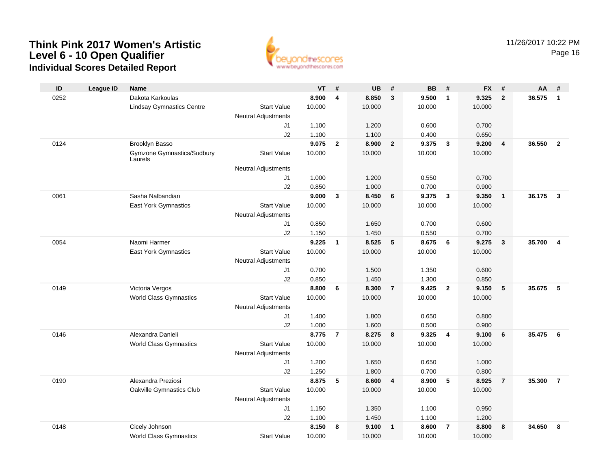

| ID   | <b>League ID</b> | <b>Name</b>                           |                            | <b>VT</b> | #                       | <b>UB</b> | #                       | <b>BB</b> | #              | <b>FX</b> | #                       | AA     | #                       |
|------|------------------|---------------------------------------|----------------------------|-----------|-------------------------|-----------|-------------------------|-----------|----------------|-----------|-------------------------|--------|-------------------------|
| 0252 |                  | Dakota Karkoulas                      |                            | 8.900     | $\overline{\mathbf{4}}$ | 8.850     | 3                       | 9.500     | $\mathbf{1}$   | 9.325     | $\overline{2}$          | 36.575 | $\overline{1}$          |
|      |                  | <b>Lindsay Gymnastics Centre</b>      | <b>Start Value</b>         | 10.000    |                         | 10.000    |                         | 10.000    |                | 10.000    |                         |        |                         |
|      |                  |                                       | <b>Neutral Adjustments</b> |           |                         |           |                         |           |                |           |                         |        |                         |
|      |                  |                                       | J1                         | 1.100     |                         | 1.200     |                         | 0.600     |                | 0.700     |                         |        |                         |
|      |                  |                                       | J2                         | 1.100     |                         | 1.100     |                         | 0.400     |                | 0.650     |                         |        |                         |
| 0124 |                  | Brooklyn Basso                        |                            | 9.075     | $\overline{2}$          | 8.900     | $\overline{2}$          | 9.375     | $\mathbf{3}$   | 9.200     | $\overline{4}$          | 36.550 | $\overline{2}$          |
|      |                  | Gymzone Gymnastics/Sudbury<br>Laurels | <b>Start Value</b>         | 10.000    |                         | 10.000    |                         | 10.000    |                | 10.000    |                         |        |                         |
|      |                  |                                       | <b>Neutral Adjustments</b> |           |                         |           |                         |           |                |           |                         |        |                         |
|      |                  |                                       | J1                         | 1.000     |                         | 1.200     |                         | 0.550     |                | 0.700     |                         |        |                         |
|      |                  |                                       | J2                         | 0.850     |                         | 1.000     |                         | 0.700     |                | 0.900     |                         |        |                         |
| 0061 |                  | Sasha Nalbandian                      |                            | 9.000     | 3                       | 8.450     | 6                       | 9.375     | $\mathbf{3}$   | 9.350     | $\overline{1}$          | 36.175 | $\overline{\mathbf{3}}$ |
|      |                  | East York Gymnastics                  | <b>Start Value</b>         | 10.000    |                         | 10.000    |                         | 10.000    |                | 10.000    |                         |        |                         |
|      |                  |                                       | Neutral Adjustments        |           |                         |           |                         |           |                |           |                         |        |                         |
|      |                  |                                       | J1                         | 0.850     |                         | 1.650     |                         | 0.700     |                | 0.600     |                         |        |                         |
|      |                  |                                       | J2                         | 1.150     |                         | 1.450     |                         | 0.550     |                | 0.700     |                         |        |                         |
| 0054 |                  | Naomi Harmer                          |                            | 9.225     | $\mathbf{1}$            | 8.525     | 5                       | 8.675     | 6              | 9.275     | $\overline{\mathbf{3}}$ | 35.700 | $\overline{4}$          |
|      |                  | East York Gymnastics                  | <b>Start Value</b>         | 10.000    |                         | 10.000    |                         | 10.000    |                | 10.000    |                         |        |                         |
|      |                  |                                       | <b>Neutral Adjustments</b> |           |                         |           |                         |           |                |           |                         |        |                         |
|      |                  |                                       | J1                         | 0.700     |                         | 1.500     |                         | 1.350     |                | 0.600     |                         |        |                         |
|      |                  |                                       | J2                         | 0.850     |                         | 1.450     |                         | 1.300     |                | 0.850     |                         |        |                         |
| 0149 |                  | Victoria Vergos                       |                            | 8.800     | 6                       | 8.300     | $\overline{7}$          | 9.425     | $\overline{2}$ | 9.150     | 5                       | 35.675 | - 5                     |
|      |                  | <b>World Class Gymnastics</b>         | <b>Start Value</b>         | 10.000    |                         | 10.000    |                         | 10.000    |                | 10.000    |                         |        |                         |
|      |                  |                                       | <b>Neutral Adjustments</b> |           |                         |           |                         |           |                |           |                         |        |                         |
|      |                  |                                       | J1                         | 1.400     |                         | 1.800     |                         | 0.650     |                | 0.800     |                         |        |                         |
|      |                  |                                       | J2                         | 1.000     |                         | 1.600     |                         | 0.500     |                | 0.900     |                         |        |                         |
| 0146 |                  | Alexandra Danieli                     |                            | 8.775     | $\overline{7}$          | 8.275     | 8                       | 9.325     | $\overline{4}$ | 9.100     | 6                       | 35.475 | 6                       |
|      |                  | <b>World Class Gymnastics</b>         | <b>Start Value</b>         | 10.000    |                         | 10.000    |                         | 10.000    |                | 10.000    |                         |        |                         |
|      |                  |                                       | <b>Neutral Adjustments</b> |           |                         |           |                         |           |                |           |                         |        |                         |
|      |                  |                                       | J <sub>1</sub>             | 1.200     |                         | 1.650     |                         | 0.650     |                | 1.000     |                         |        |                         |
|      |                  |                                       | J2                         | 1.250     |                         | 1.800     |                         | 0.700     |                | 0.800     |                         |        |                         |
| 0190 |                  | Alexandra Preziosi                    |                            | 8.875     | 5                       | 8.600     | $\overline{\mathbf{4}}$ | 8.900     | 5              | 8.925     | $\overline{7}$          | 35.300 | $\overline{7}$          |
|      |                  | Oakville Gymnastics Club              | <b>Start Value</b>         | 10.000    |                         | 10.000    |                         | 10.000    |                | 10.000    |                         |        |                         |
|      |                  |                                       | <b>Neutral Adjustments</b> |           |                         |           |                         |           |                |           |                         |        |                         |
|      |                  |                                       | J1                         | 1.150     |                         | 1.350     |                         | 1.100     |                | 0.950     |                         |        |                         |
|      |                  |                                       | J2                         | 1.100     |                         | 1.450     |                         | 1.100     |                | 1.200     |                         |        |                         |
| 0148 |                  | Cicely Johnson                        |                            | 8.150     | 8                       | 9.100     | $\mathbf{1}$            | 8.600     | $\overline{7}$ | 8.800     | 8                       | 34.650 | 8                       |
|      |                  | <b>World Class Gymnastics</b>         | <b>Start Value</b>         | 10.000    |                         | 10.000    |                         | 10.000    |                | 10.000    |                         |        |                         |
|      |                  |                                       |                            |           |                         |           |                         |           |                |           |                         |        |                         |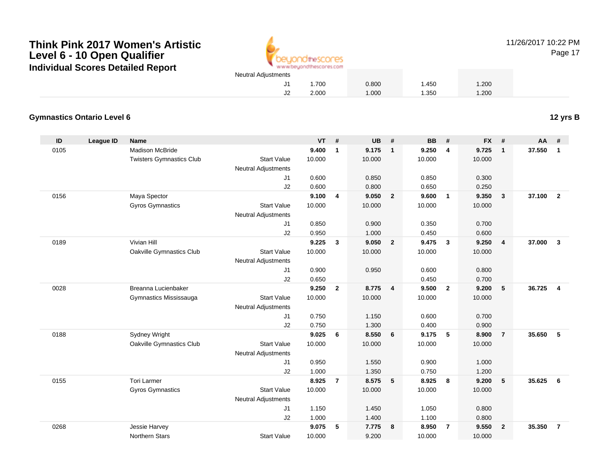

**League ID Name VT # UB # BB # FX # AA #**

Madison McBride **9.400 <sup>1</sup> 9.175 <sup>1</sup> 9.250 <sup>4</sup> 9.725 <sup>1</sup> 37.550 <sup>1</sup>**

2.000 1.000 1.350 1.200

1.000 1.350 0.750 1.200

e 10.000 10.000 10.000 10.000

1.150 1.450 1.050 0.800

1.000 1.400 1.100 0.800

e 10.000 9.200 10.000 10.000

J2

11/26/2017 10:22 PM

Page 17

#### **Gymnastics Ontario Level 6**

**ID**

0105

0156

0189

0028

0188

0155

0268

Gyros Gymnastics

Northern Stars

Twisters Gymnastics Clubb 3tart Value 10.000 10.000 10.000 10.000 10.000 Neutral Adjustments J1 0.600 0.850 0.850 0.300 J2 0.600 0.800 0.650 0.250 Maya Spector **9.100 <sup>4</sup> 9.050 <sup>2</sup> 9.600 <sup>1</sup> 9.350 <sup>3</sup> 37.100 <sup>2</sup>** Gyros Gymnastics Start Valuee 10.000 10.000 10.000 10.000 Neutral Adjustments J1 0.850 0.900 0.350 0.700 J2 0.950 1.000 0.450 0.600 Vivian Hill **9.225 <sup>3</sup> 9.050 <sup>2</sup> 9.475 <sup>3</sup> 9.250 <sup>4</sup> 37.000 <sup>3</sup>** Oakville Gymnastics Club Start Value 10.000 10.000 10.000 10.000 Neutral Adjustments J1 0.900 0.950 0.600 0.800 J2 0.650 0.450 0.700 Breanna Lucienbaker **9.250 <sup>2</sup> 8.775 <sup>4</sup> 9.500 <sup>2</sup> 9.200 <sup>5</sup> 36.725 <sup>4</sup>** Gymnastics Mississauga Start Value 10.000 10.000 10.000 10.000 Neutral Adjustments J1 0.750 1.150 0.600 0.700 J22 0.750 1.300 0.400 0.900 Sydney Wright **9.025 <sup>6</sup> 8.550 <sup>6</sup> 9.175 <sup>5</sup> 8.900 <sup>7</sup> 35.650 <sup>5</sup>** Oakville Gymnastics Club Start Value 10.000 10.000 10.000 10.000 Neutral Adjustments J10.950 1.550 0.900 1.000

J2

J1

J2

Start Value

Start Value

Neutral Adjustments

Tori Larmer **8.925 <sup>7</sup> 8.575 <sup>5</sup> 8.925 <sup>8</sup> 9.200 <sup>5</sup> 35.625 <sup>6</sup>**

Jessie Harvey **9.075 <sup>5</sup> 7.775 <sup>8</sup> 8.950 <sup>7</sup> 9.550 <sup>2</sup> 35.350 <sup>7</sup>**

**12 yrs B**